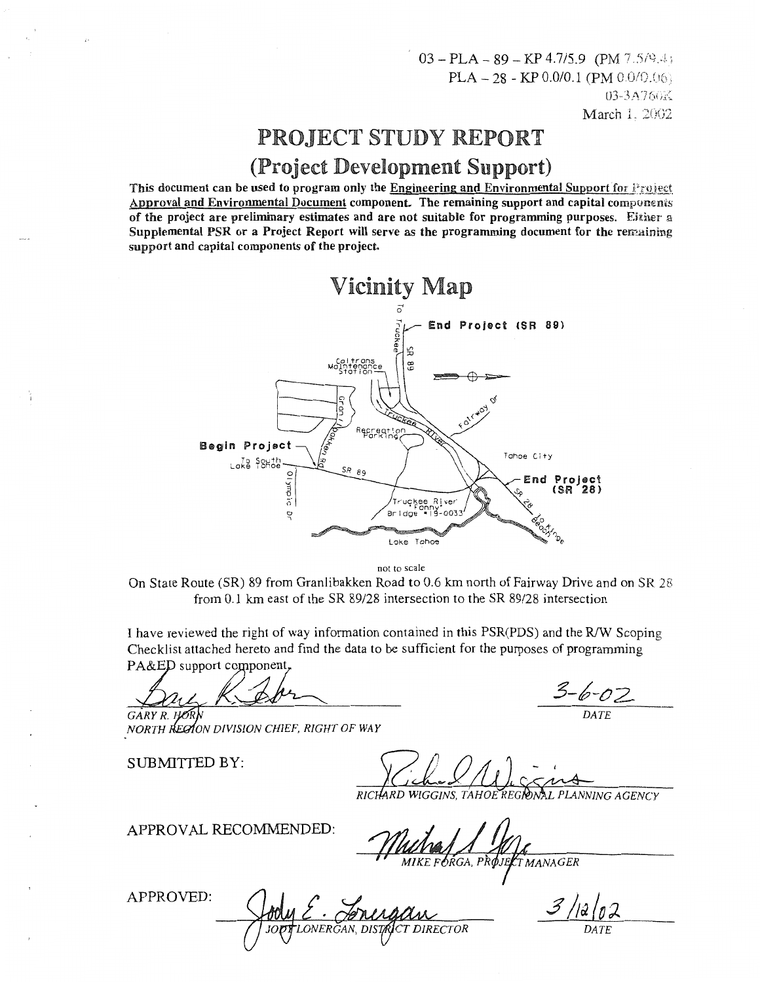# PROJECT STUDY REPORT (Project Development Support)

This document can be used to program only the Engineering and Environmental Support for  $\mathbb{F}_{\mathbb{F}}$  resection Approval and Environmental Document component. The remaining support and capital components of the project are preliminary estimates and are not suitable for programming purposes. Either a Supplemental PSR or a Project Report will serve as the programming document for the remaining support and capital components of the project.



not to scale

On State Route (SR) 89 from Granlibakken Road to 0.6 km north of Fairway Drive and on SR 28 from 0.1 km east of the SR 89/28 intersection to the SR 89/28 intersection

I have reviewed the right of way information contained in this PSR(PDS) and the RIW Scoping Checklist attached hereto and find the data to be sufficient for the purposes of programming PA&ED support component,

*R DATE* 

*NORTH REGION DIVISION CHIEF, RIGHT OF WAY* 

SUBMITTED BY:

RICHARD WIGGINS, TAHOE REGRAAL PLANNING AGENCY

APPROVAL RECOMMENDED:

MIKE FORGA, PROJEK TMANAGER

APPROVED:

ERĞAN, DISTAR CT DIRECTOR

 $3/12/0$ *DATE*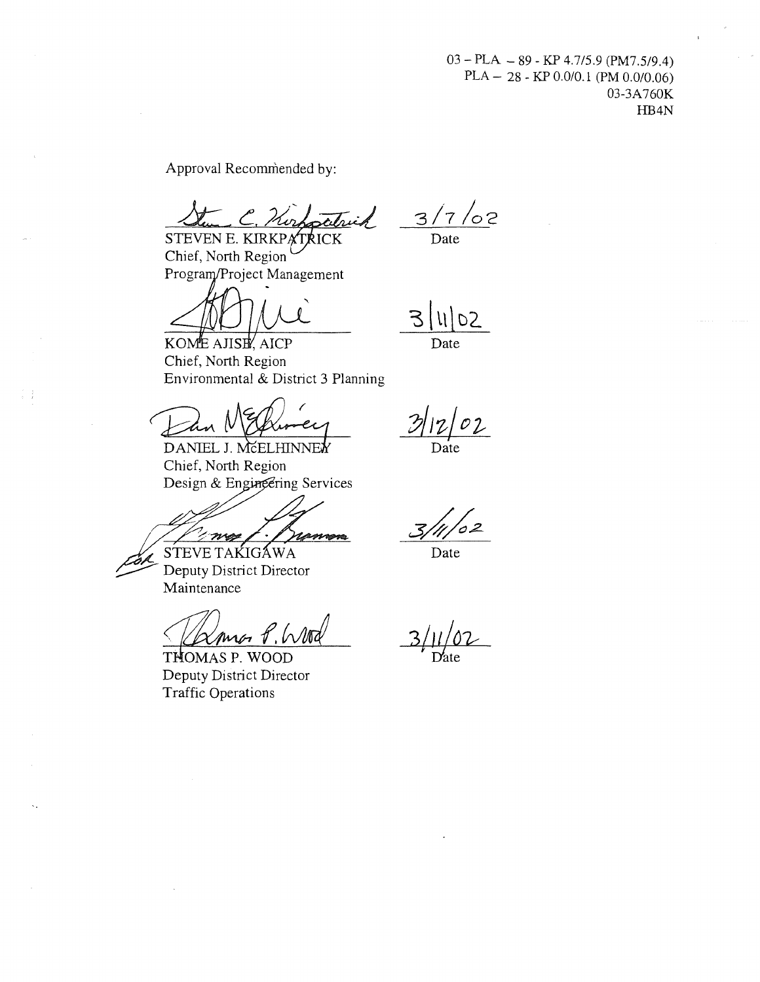Approval Recommended by:

Sten C. Norfortruik

Chief, North Region Program/Project Management

 $3/7/02$ Date

 $D<sub>2</sub>$ Date

KOME AJISE AICP Chief, North Region

Environmental & District 3 Planning<br>
DANIEL J. MCCLIHINNER<br>
CLISSIMEL J. MCELHINNER

Chief, North Region Design & Enging ervices

<u>/ *X noe | J }*</u><br>STEVE TAKIGAWA

Deputy District Director Maintenance

<u>< *(L*Xme P, Wood</u>)<br>THOMAS P. WOOD

Deputy District Director Traffic Operations

Date

,<br>02

Date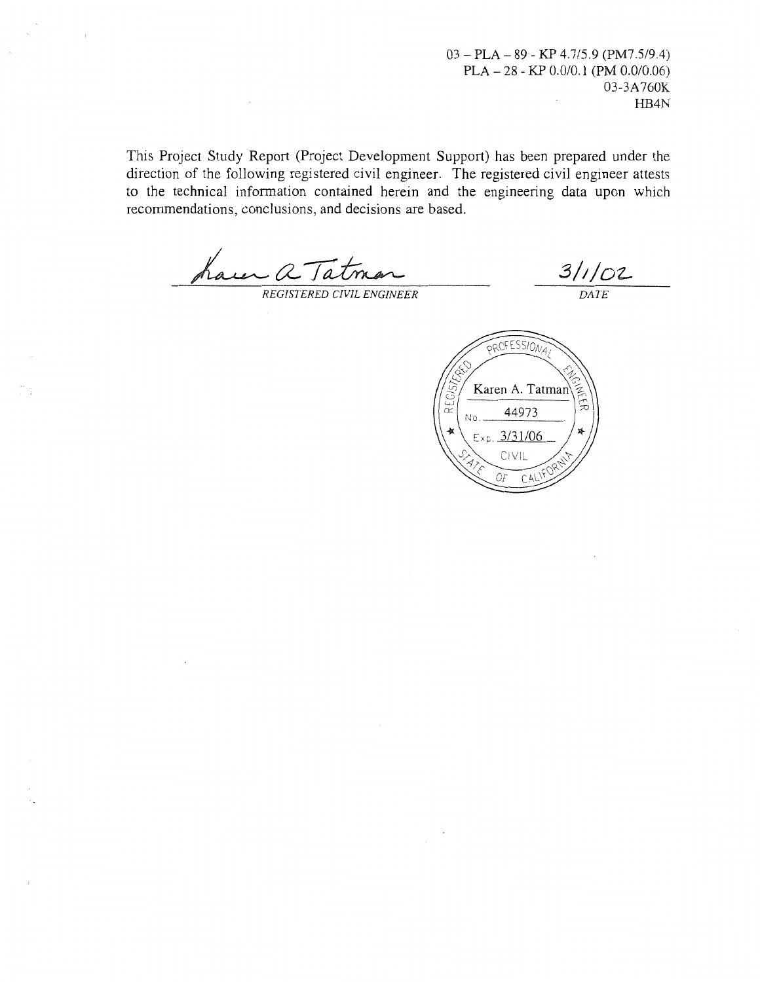This Project Study Report (Project Development Support) has been prepared under the direction of the following registered civil engineer. The registered civil engineer attests to the technical information contained herein and the engineering data upon which recommendations, conclusions, and decisions are based.

**REGISTERED CIVIL ENGINEER** 

 $\frac{3}{\sqrt{DATE}}$ 

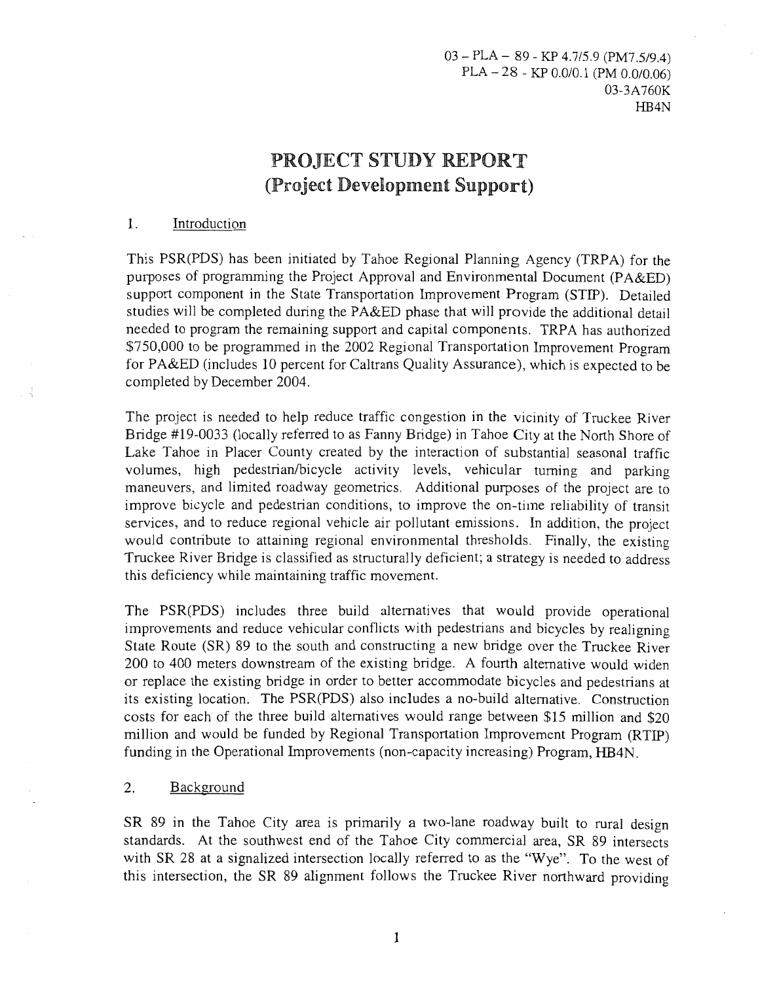# PROJECT STUDY REPORT (Project Development Support)

### 1. Introduction

This PSR(PDS) has been initiated by Tahoe Regional Planning Agency (TRPA) for the purposes of programming the Project Approval and Environmental Document (PA&ED) support component in the State Transportation Improvement Program (STIP). Detailed studies will be completed during the PA&ED phase that will provide the additional detail needed to program the remaining support and capital components. TRPA has authorized \$750,000 to be programmed in the 2002 Regional Transportation Improvement Program for PA&ED (includes 10 percent for Caltrans Quality Assurance), which is expected to be completed by December 2004.

The project is needed to help reduce traffic congestion in the vicinity of Truckee River Bridge #19-0033 (locally referred to as Fanny Bridge) in Tahoe City at the North Shore of Lake Tahoe in Placer County created by the interaction of substantial seasonal traffic volumes, high pedestrian/bicycle activity levels, vehicular turning and parking maneuvers, and limited roadway geometries. Additional purposes of the project are to improve bicycle and pedestrian conditions, to improve the on-time reliability of transit services, and to reduce regional vehicle air pollutant emissions. In addition, the project would contribute to attaining regional environmental thresholds. Finally, the existing Truckee River Bridge is classified as structurally deficient; a strategy is needed to address this deficiency while maintaining traffic movement.

The PSR(PDS) includes three build alternatives that would provide operational improvements and reduce vehicular conflicts with pedestrians and bicycles by realigning State Route (SR) 89 to the south and constructing a new bridge over the Truckee River 200 to 400 meters downstream of the existing bridge. A fourth alternative would widen or replace the existing bridge in order to better accommodate bicycles and pedestrians at its existing location. The PSR(PDS) also includes a no-build alternative. Construction costs for each of the three build alternatives would range between \$15 million and \$20 million and would be funded by Regional Transportation Improvement Program (RTIP) funding in the Operational Improvements (non-capacity increasing) Program, HB4N.

### 2. Background

SR 89 in the Tahoe City area is primarily a two-lane roadway built to rural design standards. At the southwest end of the Tahoe City commercial area, SR 89 intersects with SR 28 at a signalized intersection locally referred to as the "Wye". To the west of this intersection, the SR 89 alignment follows the Truckee River northward providing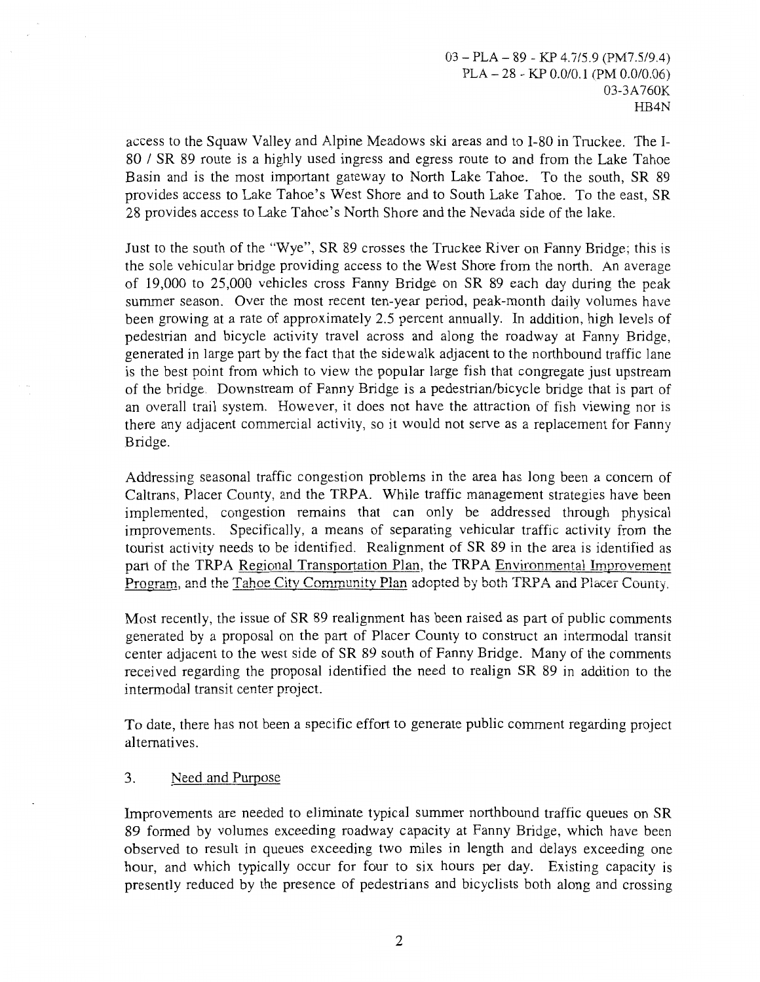access to the Squaw Valley and Alpine Meadows ski areas and to I-80 in Truckee. The I-80 I SR 89 route is a highly used ingress and egress route to and from the Lake Tahoe Basin and is the most important gateway to North Lake Tahoe. To the south, SR 89 provides access to Lake Tahoe's West Shore and to South Lake Tahoe. To the east, SR 28 provides access to Lake Tahoe's North Shore and the Nevada side of the lake.

Just to the south of the "Wye", SR 89 crosses the Truckee River on Fanny Bridge; this is the sole vehicular bridge providing access to the West Shore from the north. An average of 19,000 to 25,000 vehicles cross Fanny Bridge on SR 89 each day during the peak summer season. Over the most recent ten-year period, peak-month daily volumes have been growing at a rate of approximately 2.5 percent annually. In addition, high levels of pedestrian and bicycle activity travel across and along the roadway at Fanny Bridge, generated in large part by the fact that the sidewalk adjacent to the northbound traffic lane is the best point from which to view the popular large fish that congregate just upstream of the bridge. Downstream of Fanny Bridge is a pedestrian/bicycle bridge that is part of an overall trail system. However, it does not have the attraction of fish viewing nor is there any adjacent commercial activity, so it would not serve as a replacement for Fanny Bridge.

Addressing seasonal traffic congestion problems in the area has long been a concern of Caltrans, Placer County, and the TRPA. While traffic management strategies have been implemented, congestion remains that can only be addressed through physical improvements. Specifically, a means of separating vehicular traffic activity from the tourist activity needs to be identified. Realignment of SR 89 in the area is identified as part of the TRPA Regional Transportation Plan, the TRPA Environmental Improvement .<br>Program, and the Tahoe City Community Plan adopted by both TRPA and Placer County.

Most recently, the issue of SR 89 realignment has been raised as part of public comments generated by a proposal on the part of Placer County to construct an intermodal transit center adjacent to the west side of SR 89 south of Fanny Bridge. Many of the comments received regarding the proposal identified the need to realign SR 89 in addition to the intermodal transit center project.

To date, there has not been a specific effort to generate public comment regarding project alternatives.

### 3. Need and Purpose

Improvements are needed to eliminate typical summer northbound traffic queues on SR 89 formed by volumes exceeding roadway capacity at Fanny Bridge, which have been observed to result in queues exceeding two miles in length and delays exceeding one hour, and which typically occur for four to six hours per day. Existing capacity is presently reduced by the presence of pedestrians and bicyclists both along and crossing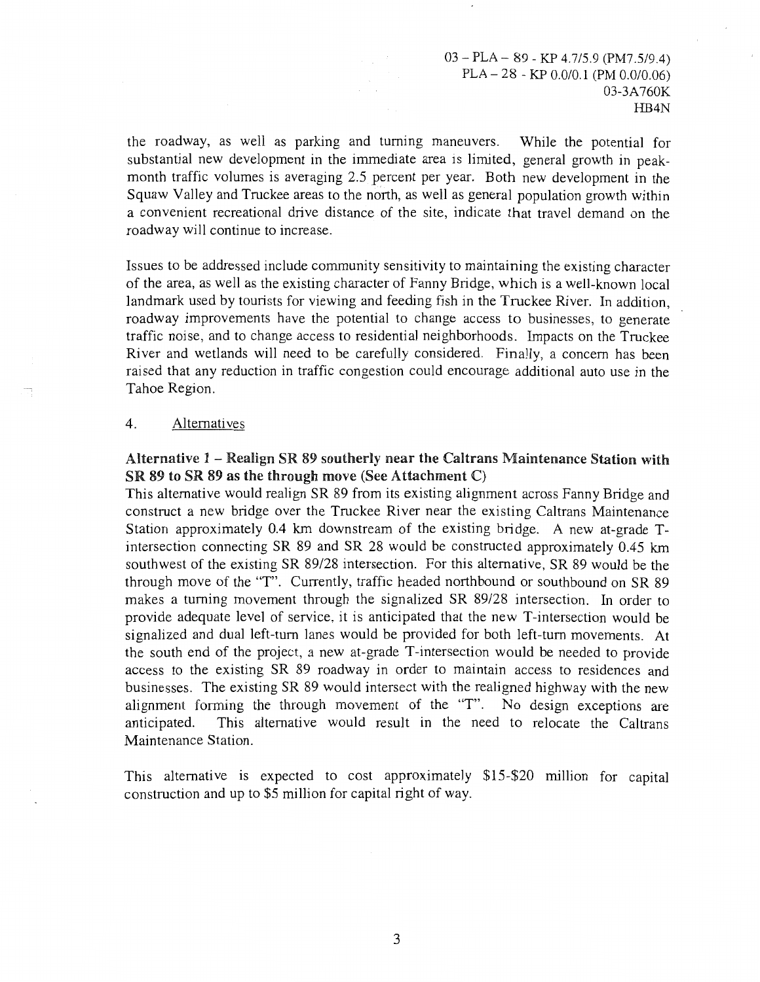the roadway, as well as parking and turning maneuvers. While the potential for substantial new development in the immediate area is limited, general growth in peakmonth traffic volumes is averaging 2.5 percent per year. Both new development in the Squaw Valley and Truckee areas to the north, as well as general population growth within a convenient recreational drive distance of the site, indicate that travel demand on the roadway will continue to increase.

Issues to be addressed include community sensitivity to maintaining the existing character of the area, as well as the existing character of Fanny Bridge, which is a well-known local landmark used by tourists for viewing and feeding fish in the Truckee River. In addition, roadway improvements have the potential to change access to businesses, to generate traffic noise, and to change access to residential neighborhoods. Impacts on the Truckee River and wetlands will need to be carefully considered. Finally, a concern has been raised that any reduction in traffic congestion could encourage additional auto use in the Tahoe Region.

### 4. Alternatives

### Alternative 1 - Realign SR 89 southerly near the Caltrans Maintenance Station with SR 89 to SR 89 as the through move (See Attachment C)

This alternative would realign SR 89 from its existing alignment across Fanny Bridge and construct a new bridge over the Truckee River near the existing Caltrans Maintenance Station approximately 0.4 km downstream of the existing bridge. A new at-grade Tintersection connecting SR 89 and SR 28 would be constructed approximately 0.45 km southwest of the existing SR 89/28 intersection. For this alternative, SR 89 would be the through move of the "T". Currently, traffic headed northbound or southbound on SR 89 makes a turning movement through the signalized SR 89/28 intersection. In order to provide adequate level of service, it is anticipated that the new T-intersection would be signalized and dual left-tum lanes would be provided for both left-tum movements. At the south end of the project, a new at-grade T-intersection would be needed to provide access to the existing SR 89 roadway in order to maintain access to residences and businesses. The existing SR 89 would intersect with the realigned highway with the new alignment forming the through movement of the "T". No design exceptions are anticipated. This alternative would result in the need to relocate the Caltrans Maintenance Station.

This alternative is expected to cost approximately \$15-\$20 million for capital construction and up to \$5 million for capital right of way.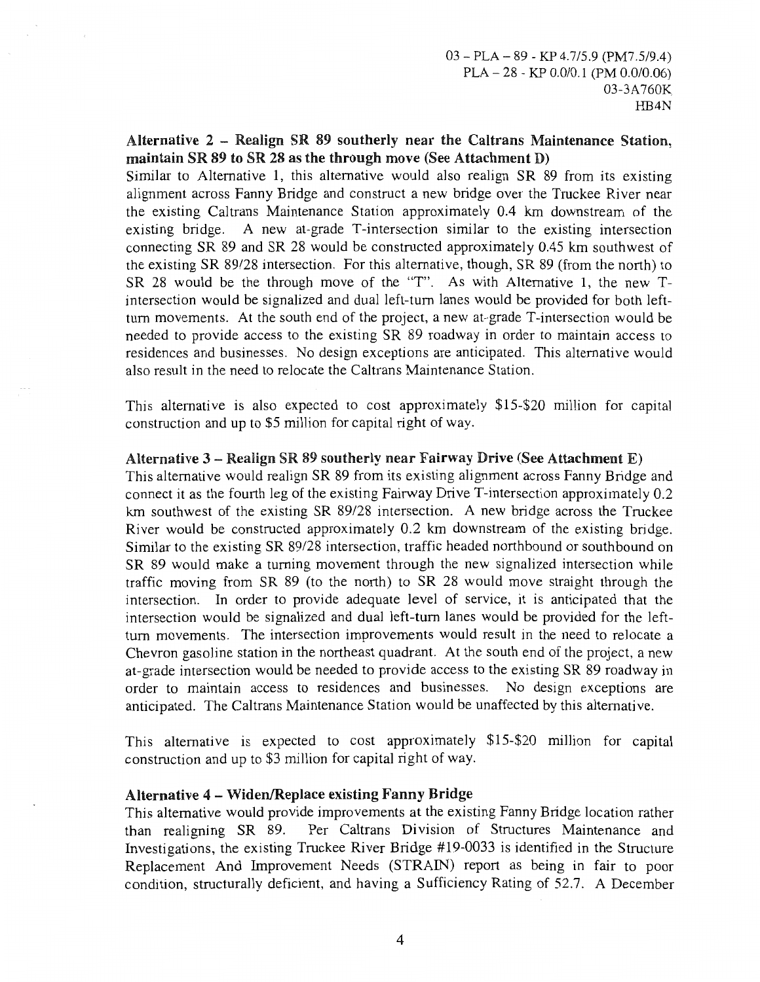### Alternative 2 - Realign SR 89 southerly near the Caltrans Maintenance Station, maintain SR 89 to SR 28 as the through move (See Attachment D)

Similar to Alternative 1, this alternative would also realign SR 89 from its existing alignment across Fanny Bridge and construct a new bridge over the Truckee River near the existing Caltrans Maintenance Station approximately 0.4 km downstream of the existing bridge. A new at-grade T-intersection similar to the existing intersection connecting SR 89 and SR 28 would be constructed approximately 0.45 km southwest of the existing SR 89/28 intersection. For this alternative, though, SR 89 (from the north) to SR 28 would be the through move of the "T". As with Alternative 1, the new Tintersection would be signalized and dual left-tum lanes would be provided for both leftturn movements. At the south end of the project, a new at-grade T-intersection would be needed to provide access to the existing SR 89 roadway in order to maintain access to residences and businesses. No design exceptions are anticipated. This alternative would also result in the need to relocate the Caltrans Maintenance Station.

This alternative is also expected to cost approximately \$15-\$20 million for capital construction and up to \$5 million for capital right of way.

### Alternative  $3$  – Realign SR 89 southerly near Fairway Drive (See Attachment E)

This alternative would realign SR 89 from its existing alignment across Fanny Bridge and connect it as the fourth leg of the existing Fairway Drive T-intersection approximately 0.2 km southwest of the existing SR 89/28 intersection. A new bridge across the Truckee River would be constructed approximately 0.2 km downstream of the existing bridge. Similar to the existing SR 89/28 intersection, traffic headed northbound or southbound on SR 89 would make a turning movement through the new signalized intersection while traffic moving from SR 89 (to the north) to SR 28 would move straight through the intersection. In order to provide adequate level of service, it is anticipated that the intersection would be signalized and dual left-tum lanes would be provided for the leftturn movements. The intersection improvements would result in the need to relocate a Chevron gasoline station in the northeast quadrant. At the south end of the project, a new at-grade intersection would be needed to provide access to the existing SR 89 roadway in order to maintain access to residences and businesses. No design exceptions are anticipated. The Caltrans Maintenance Station would be unaffected by this alternative.

This alternative is expected to cost approximately \$15-\$20 million for capital construction and up to \$3 million for capital right of way.

### Alternative 4 - Widen/Replace existing Fanny Bridge

This alternative would provide improvements at the existing Fanny Bridge location rather than realigning SR 89. Per Caltrans Division of Structures Maintenance and Investigations, the existing Truckee River Bridge #19-0033 is identified in the Structure Replacement And Improvement Needs (STRAIN) report as being in fair to poor condition, structurally deficient, and having a Sufficiency Rating of 52.7. A December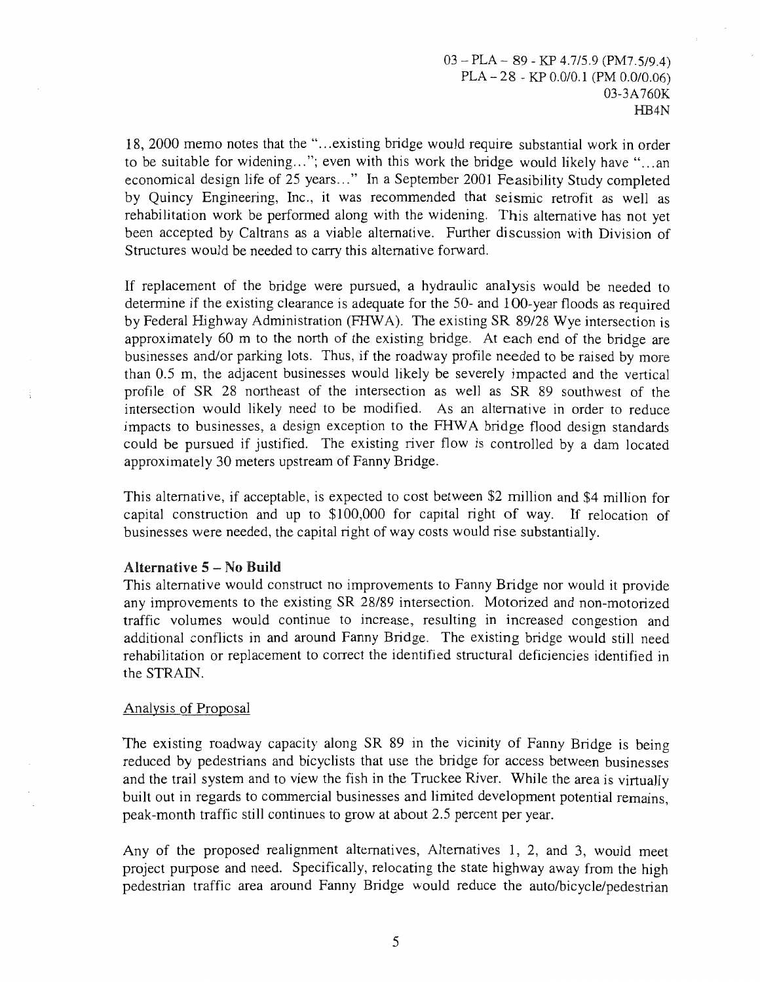18, 2000 memo notes that the "... existing bridge would require substantial work in order to be suitable for widening..."; even with this work the bridge would likely have "...an economical design life of 25 years..." In a September 2001 Feasibility Study completed by Quincy Engineering, Inc., it was recommended that seismic retrofit as well as rehabilitation work be performed along with the widening. This alternative has not yet been accepted by Caltrans as a viable alternative. Further discussion with Division of Structures would be needed to carry this alternative forward.

If replacement of the bridge were pursued, a hydraulic analysis would be needed to determine if the existing clearance is adequate for the 50- and 100-year floods as required by Federal Highway Administration (FHW A). The existing SR 89/28 Wye intersection is approximately 60 m to the north of the existing bridge. At each end of the bridge are businesses and/or parking lots. Thus, if the roadway profile needed to be raised by more than 0.5 m, the adjacent businesses would likely be severely impacted and the vertical profile of SR 28 northeast of the intersection as well as SR 89 southwest of the intersection would likely need to be modified. As an alternative in order to reduce impacts to businesses, a design exception to the FHW A bridge flood design standards could be pursued if justified. The existing river flow is controlled by a dam located approximately 30 meters upstream of Fanny Bridge.

This alternative, if acceptable, is expected to cost between \$2 million and \$4 million for capital construction and up to \$100,000 for capital right of way. If relocation of businesses were needed, the capital right of way costs would rise substantially.

### Alternative 5 - No Build

This alternative would construct no improvements to Fanny Bridge nor would it provide any improvements to the existing SR 28/89 intersection. Motorized and non-motorized traffic volumes would continue to increase, resulting in increased congestion and additional conflicts in and around Fanny Bridge. The existing bridge would still need rehabilitation or replacement to correct the identified structural deficiencies identified in the STRAIN.

### Analysis of Proposal

The existing roadway capacity along SR 89 in the vicinity of Fanny Bridge is being reduced by pedestrians and bicyclists that use the bridge for access between businesses and the trail system and to view the fish in the Truckee River. While the area is virtually built out in regards to commercial businesses and limited development potential remains, peak-month traffic still continues to grow at about 2.5 percent per year.

Any of the proposed realignment alternatives, Alternatives 1, 2, and 3, would meet project purpose and need. Specifically, relocating the state highway away from the high pedestrian traffic area around Fanny Bridge would reduce the auto/bicycle/pedestrian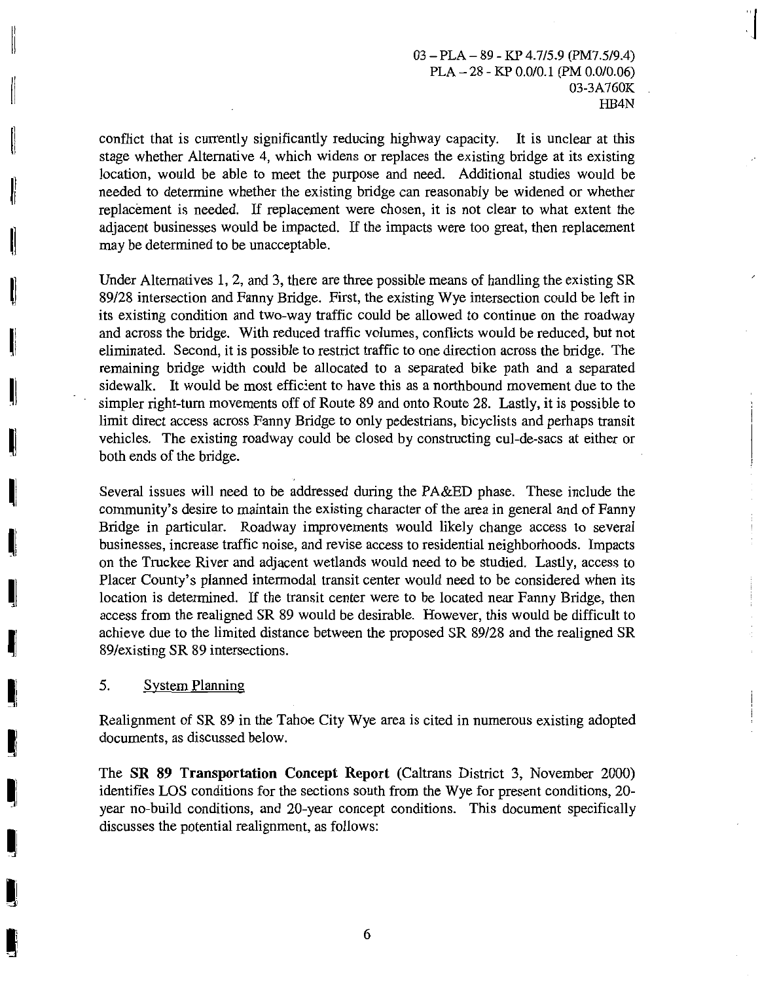**l** 

conflict that is currently significantly reducing highway capacity. It is unclear at this stage whether Alternative 4, which widens or replaces the existing bridge at its existing location, would be able to meet the purpose and need. Additional studies would be needed to determine whether the existing bridge can reasonably be widened or whether replacement is needed. If replacement were chosen, it is not clear to what extent the adjacent businesses would be impacted. If the impacts were too great, then replacement may be determined to be unacceptable.

Under Alternatives 1, 2, and 3, there are three possible means of handling the existing SR 89/28 intersection and Fanny Bridge. First, the existing Wye intersection could be left in its existing condition and two-way traffic could be allowed to continue on the roadway and across the bridge. With reduced traffic volumes, conflicts would be reduced, but not eliminated. Second, it is possible to restrict traffic to one direction across the bridge. The remaining bridge width could be allocated to a separated bike path and a separated sidewalk. It would be most efficient to have this as a northbound movement due to the simpler right-tum movements off of Route 89 and onto Route 28. Lastly, it is possible to limit direct access across Fanny Bridge to only pedestrians, bicyclists and perhaps transit vehicles. The existing roadway could be closed by constructing cui-de-sacs at either or both ends of the bridge.

Several issues will need to be addressed during the PA&ED phase. These include the community's desire to maintain the existing character of the area in general and of Fanny Bridge in particular. Roadway improvements would likely change access to several businesses, increase traffic noise, and revise access to residential neighborhoods. Impacts on the Truckee River and adjacent wetlands would need to be studied. Lastly, access to Placer County's planned intermodal transit center would need to be considered when its location is determined. If the transit center were to be located near Fanny Bridge, then access from the realigned SR 89 would be desirable. However, this would be difficult to achieve due to the limited distance between the proposed SR 89/28 and the realigned SR 89/existing SR 89 intersections.

### 5. System Planning

li

II

II

II

**II** 

11

I I I

~I

II

~I

~I

II

**I** 3

I

**li** 

**I** 

Realignment of SR 89 in the Tahoe City Wye area is cited in numerous existing adopted documents, as discussed below.

The **SR 89 Transportation Concept Report** (Caltrans District 3, November 2000) identifies LOS conditions for the sections south from the Wye for present conditions, 20 year no-build conditions, and 20-year concept conditions. This document specifically discusses the potential realignment, as follows: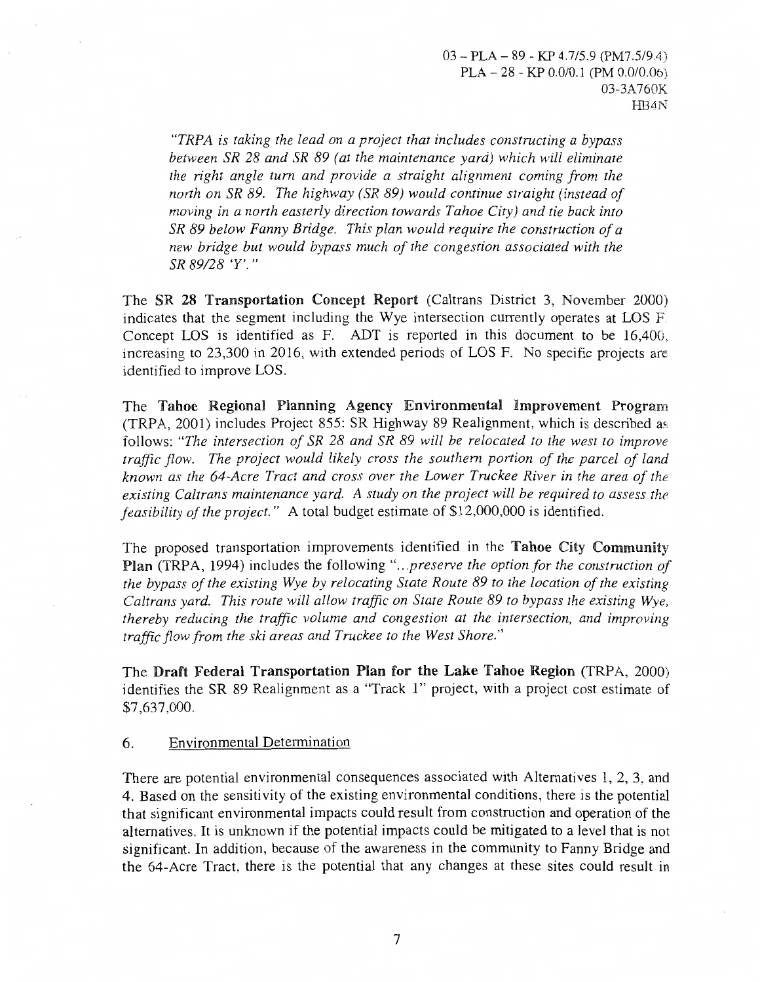*"TRPA is taking the lead on a project that includes constructing a bypass between SR 28 and SR 89 (at the maintenance yard) which will eliminate the right angle tum and provide a straight alignment coming from the north on SR 89. The highway (SR 89) would continue straight (instead of moving in a north easterly direction towards Tahoe City) and tie back into SR 89 below Fanny Bridge. This plan would require the construction of a new bridge but would bypass much of the congestion associated with the SR 89/28 'Y'."* 

The SR 28 Transportation Concept Report (Caltrans District 3, November 2000) indicates that the segment including the Wye intersection currently operates at LOS F Concept LOS is identified as F. ADT is reported in this document to be 16,400, increasing to 23,300 in 2016, with extended periods of LOS F. No specific projects are identified to improve LOS.

The Tahoe Regional Planning Agency Environmental Improvement Program (TRPA, 2001) includes Project 855: SR Highway 89 Realignment, which is described a~. follows: *"The intersection of SR 28 and SR 89 will be relocated to the west to improve traffic flow. The project would likely cross the southern portion of the parcel of land known as the 64-Acre Tract and cross over the Lower Truckee River in the area of the existing Caltrans maintenance yard. A study on the project will be required to assess the feasibility of the project."* A total budget estimate of \$12,000,000 is identified.

The proposed transportation improvements identified in the Tahoe City Community Plan (TRPA, 1994) includes the following "...preserve the option for the construction of *the bypass of the existing Wye by relocating State Route 89 to the location of the existing Caltrans yard. This route will allow traffic on State Route 89 to bypass the existing Wye, thereby reducing the traffic volume and congestion at the intersection, and improving traffic flow from the ski areas and Truckee to the West Shore."* 

The Draft Federal Transportation Plan for the Lake Tahoe Region (TRPA, 2000) identifies the SR 89 Realignment as a "Track **1"** project, with a project cost estimate of \$7,637,000.

### 6. Environmental Determination

There are potential environmental consequences associated with Alternatives 1, 2, 3, and 4. Based on the sensitivity of the existing environmental conditions, there is the potential that significant environmental impacts could result from construction and operation of the alternatives. It is unknown if the potential impacts could be mitigated to a level that is not significant. In addition, because of the awareness in the community to Fanny Bridge and the 64-Acre Tract, there is the potential that any changes at these sites could result in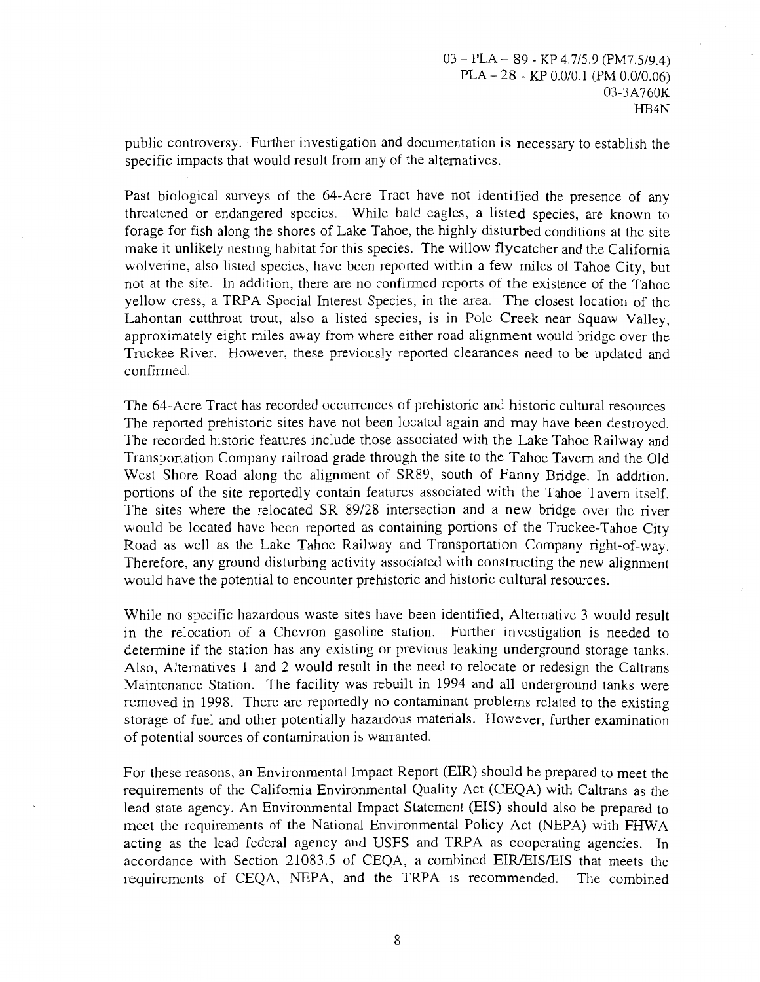public controversy. Further investigation and documentation is necessary to establish the specific impacts that would result from any of the alternatives.

Past biological surveys of the 64-Acre Tract have not identified the presence of any threatened or endangered species. While bald eagles, a listed species, are known to forage for fish along the shores of Lake Tahoe, the highly disturbed conditions at the site make it unlikely nesting habitat for this species. The willow flycatcher and the California wolverine, also listed species, have been reported within a few miles of Tahoe City, but not at the site. In addition, there are no confirmed reports of the existence of the Tahoe yellow cress, a TRPA Special Interest Species, in the area. The closest location of the Lahontan cutthroat trout, also a listed species, is in Pole Creek near Squaw Valley, approximately eight miles away from where either road alignment would bridge over the Truckee River. However, these previously reported clearances need to be updated and confirmed.

The 64-Acre Tract has recorded occurrences of prehistoric and historic cultural resources. The reported prehistoric sites have not been located again and may have been destroyed. The recorded historic features include those associated with the Lake Tahoe Railway and Transportation Company railroad grade through the site to the Tahoe Tavern and the Old West Shore Road along the alignment of SR89, south of Fanny Bridge. In addition, portions of the site reportedly contain features associated with the Tahoe Tavern itself. The sites where the relocated SR 89/28 intersection and a new bridge over the river would be located have been reported as containing portions of the Truckee-Tahoe City Road as well as the Lake Tahoe Railway and Transportation Company right-of-way. Therefore, any ground disturbing activity associated with constructing the new alignment would have the potential to encounter prehistoric and historic cultural resources.

While no specific hazardous waste sites have been identified, Alternative 3 would result in the relocation of a Chevron gasoline station. Further investigation is needed to determine if the station has any existing or previous leaking underground storage tanks. Also, Alternatives 1 and 2 would result in the need to relocate or redesign the Caltrans Maintenance Station. The facility was rebuilt in 1994 and all underground tanks were removed in 1998. There are reportedly no contaminant problems related to the existing storage of fuel and other potentially hazardous materials. However, further examination of potential sources of contamination is warranted.

For these reasons, an Environmental Impact Report (EIR) should be prepared to meet the requirements of the California Environmental Quality Act (CEQA) with Caltrans as the lead state agency. An Environmental Impact Statement (EIS) should also be prepared to meet the requirements of the National Environmental Policy Act (NEPA) with FHWA acting as the lead federal agency and USFS and TRPA as cooperating agencies. In accordance with Section 21083.5 of CEQA, a combined EIR/EIS/EIS that meets the requirements of CEQA, NEPA, and the TRPA is recommended. The combined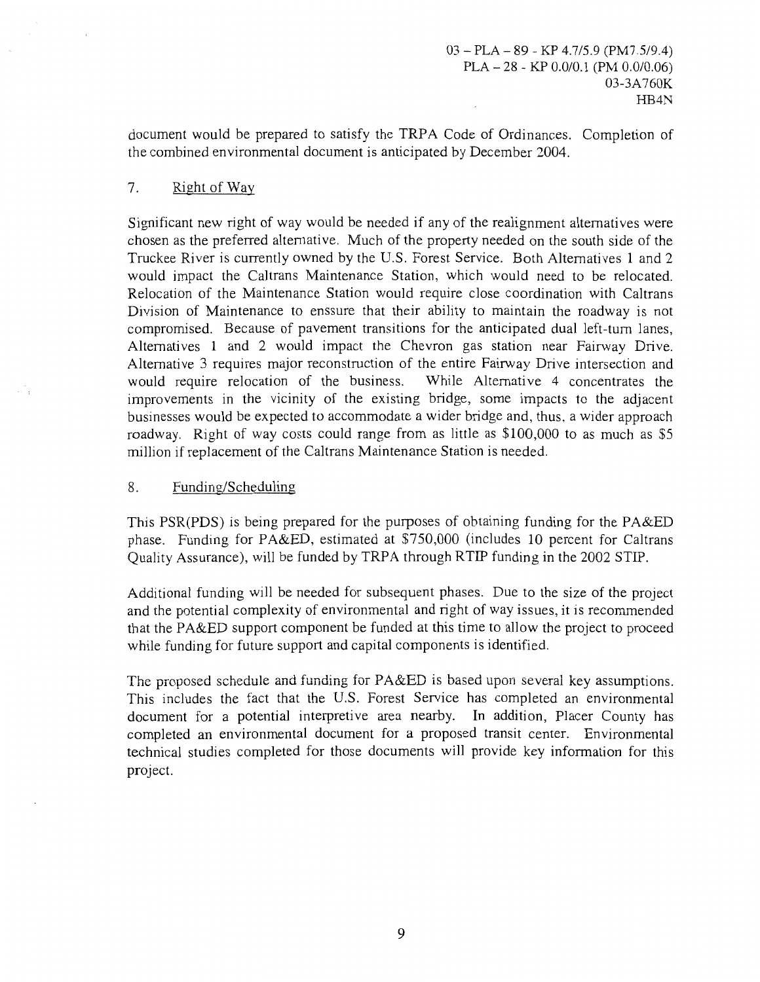document would be prepared to satisfy the TRPA Code of Ordinances. Completion of the combined environmental document is anticipated by December 2004.

## 7. RightofWay

Significant new right of way would be needed if any of the realignment alternatives were chosen as the preferred alternative. Much of the property needed on the south side of the Truckee River is currently owned by the U.S. Forest Service. Both Alternatives 1 and 2 would impact the Caltrans Maintenance Station, which would need to be relocated. Relocation of the Maintenance Station would require close coordination with Caltrans Division of Maintenance to enssure that their ability to maintain the roadway is not compromised. Because of pavement transitions for the anticipated dual left-tum lanes, Alternatives 1 and 2 would impact the Chevron gas station near Fairway Drive. Alternative 3 requires major reconstruction of the entire Fairway Drive intersection and would require relocation of the business. While Alternative 4 concentrates the improvements in the vicinity of the existing bridge, some impacts to the adjacent businesses would be expected to accommodate a wider bridge and, thus, a wider approach roadway. Right of way costs could range from as little as \$100,000 to as much as \$5 million if replacement of the Caltrans Maintenance Station is needed.

### 8. Funding/Scheduling

This PSR(PDS) is being prepared for the purposes of obtaining funding for the PA&ED phase. Funding for PA&ED, estimated at \$750,000 (includes 10 percent for Caltrans Quality Assurance), will be funded by TRPA through RTlP funding in the 2002 STlP.

Additional funding will be needed for subsequent phases. Due to the size of the project and the potential complexity of environmental and right of way issues, it is recommended that the PA&ED support component be funded at this time to allow the project to proceed while funding for future support and capital components is identified.

The proposed schedule and funding for PA&ED is based upon several key assumptions. This includes the fact that the U.S. Forest Service has completed an environmental document for a potential interpretive area nearby. In addition, Placer County has completed an environmental document for a proposed transit center. Environmental technical studies completed for those documents will provide key information for this project.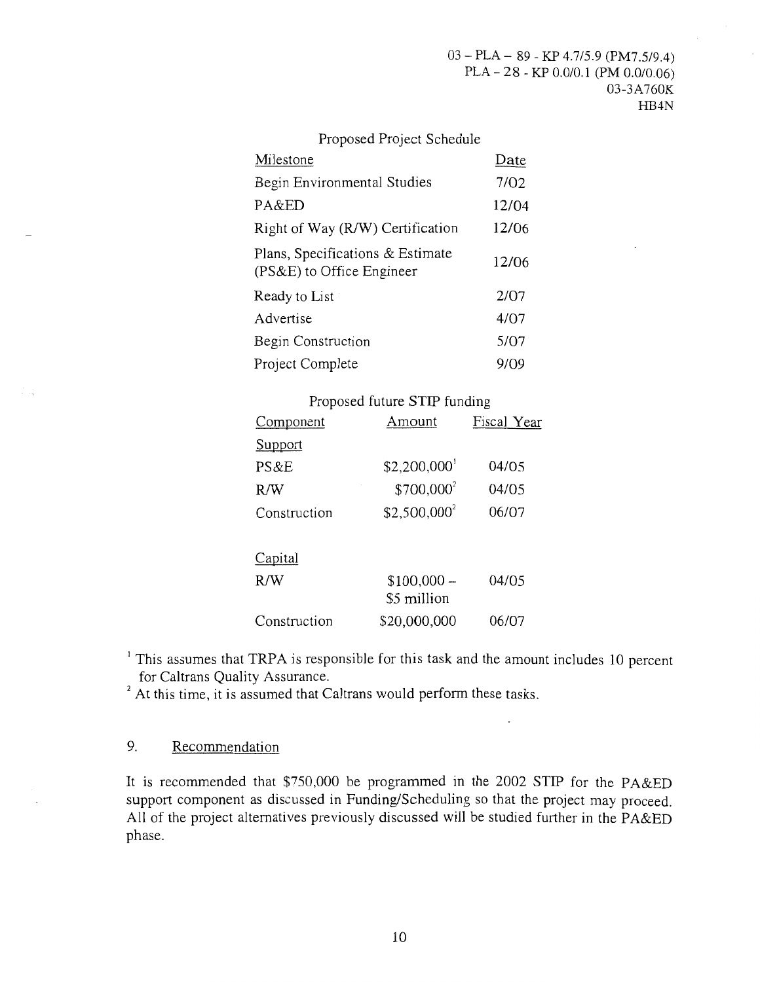#### Proposed Project Schedule Milestone Begin Environmental Studies PA&ED Date 7/02 12/04 Right of Way (R/W) Certification 12/06 Plans, Specifications & Estimate Frans, Specifications & Estimate 12/06<br>(PS&E) to Office Engineer 12 Ready to List Advertise Begin Construction Project Complete 2/07 4/07 5/07 9/09

### Proposed future STIP funding

| Component    | Amount                 | Fiscal Year |
|--------------|------------------------|-------------|
| Support      |                        |             |
| PS&E         | \$2,200,000            | 04/05       |
| R/W          | \$700,000 <sup>2</sup> | 04/05       |
| Construction | $$2,500,000^2$         | 06/07       |
| Capital      |                        |             |
| R/W          | $$100,000-$            | 04/05       |
|              | \$5 million            |             |
| Construction | \$20,000,000           | 06/07       |

<sup>1</sup> This assumes that TRPA is responsible for this task and the amount includes 10 percent for Caltrans Quality Assurance.

<sup>2</sup> At this time, it is assumed that Caltrans would perform these tasks.

## 9. Recommendation

It is recommended that \$750,000 be programmed in the 2002 STIP for the PA&ED support component as discussed in Funding/Scheduling so that the project may proceed. All of the project alternatives previously discussed will be studied further in the PA&ED phase.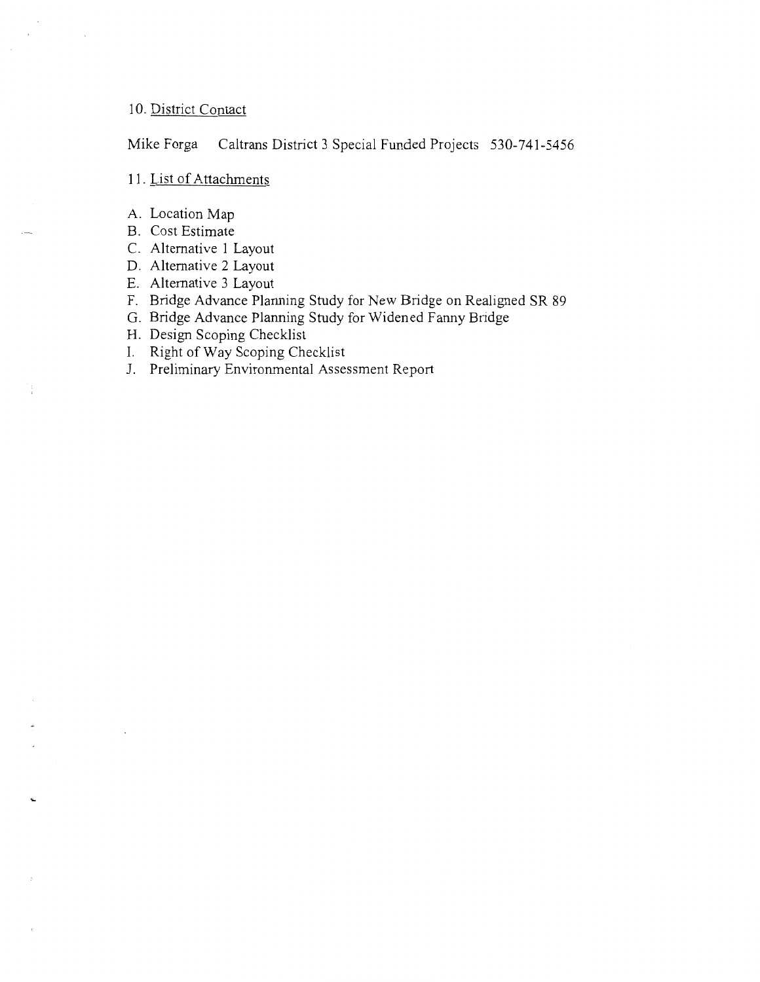### 10. District Contact

Mike Forga Caltrans District 3 Special Funded Projects 530-741-5456

### 11. List of Attachments

- A. Location Map
- B. Cost Estimate
- C. Alternative 1 Layout
- D. Alternative 2 Layout
- E. Alternative 3 Layout
- F. Bridge Advance Planning Study for New Bridge on Realigned SR 89
- G. Bridge Advance Planning Study for Widened Fanny Bridge
- H. Design Scoping Checklist
- I. Right of Way Scoping Checklist
- J. Preliminary Environmental Assessment Report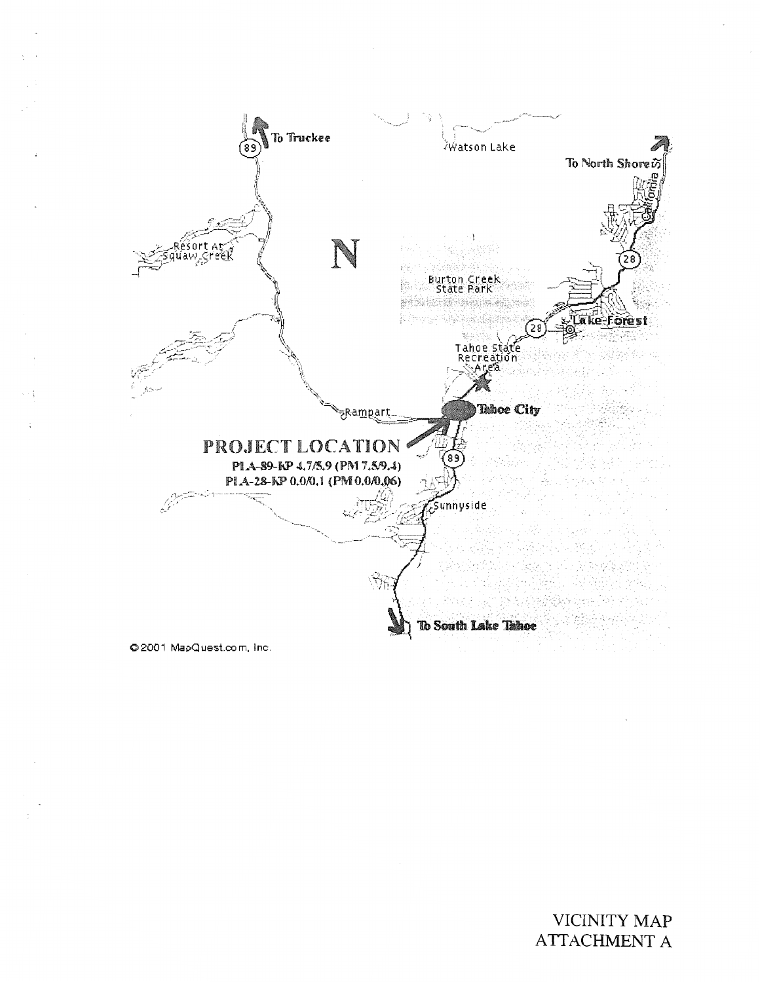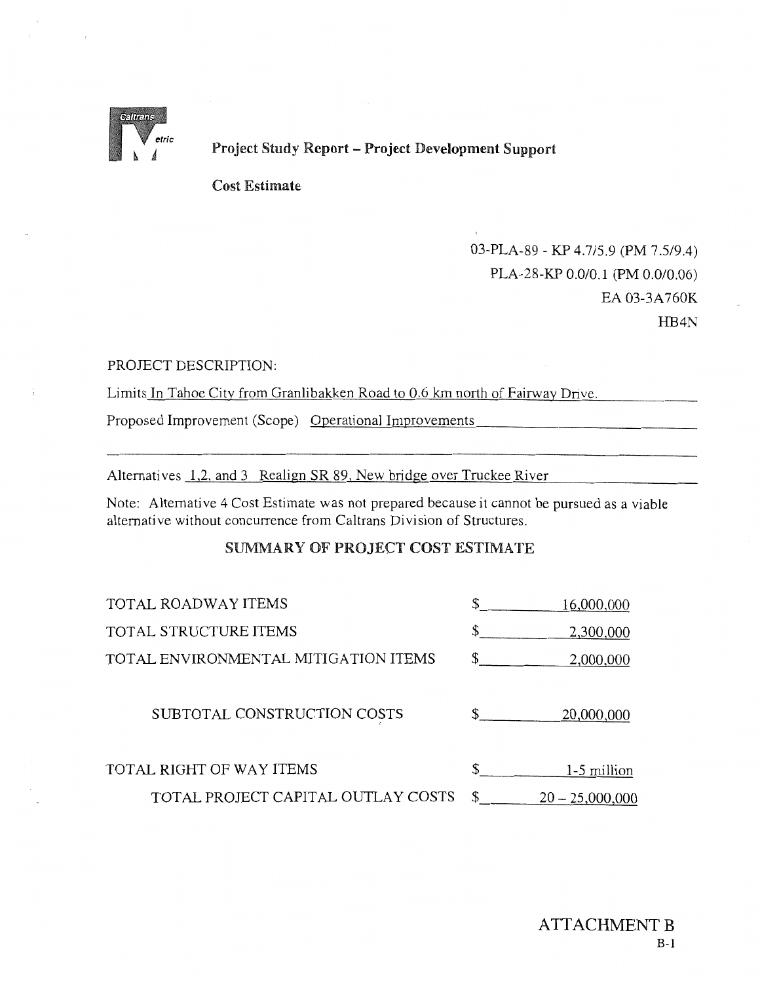

Project Study Report -Project Development Support

Cost Estimate

03-PLA-89- KP 4.7/5.9 (PM 7.5/9.4) PLA-28-KP 0.0/0.1 (PM 0.0/0.06) EA 03-3A 760K HB4N

### PROJECT DESCRIPTION:

Limits In Tahoe City from Granlibakken Road to 0.6 km north of Fairway Drive.

Proposed Improvement (Scope) Operational Improvements

Alternatives 1,2, and 3 Realign SR 89, New bridge over Truckee River

Note: Alternative 4 Cost Estimate was not prepared because it cannot be pursued as a viable alternative without concurrence from Caltrans Division of Structures.

### SUMMARY OF PROJECT COST ESTIMATE

| <b>TOTAL ROADWAY ITEMS</b>           | \$            | 16,000,000        |
|--------------------------------------|---------------|-------------------|
| TOTAL STRUCTURE ITEMS                | \$            | 2,300,000         |
| TOTAL ENVIRONMENTAL MITIGATION ITEMS | $\mathcal{S}$ | 2,000,000         |
| SUBTOTAL CONSTRUCTION COSTS          | $\mathbb{S}$  | 20,000,000        |
| TOTAL RIGHT OF WAY ITEMS             | \$            | 1-5 million       |
| TOTAL PROJECT CAPITAL OUTLAY COSTS   | \$            | $20 - 25,000,000$ |
|                                      |               |                   |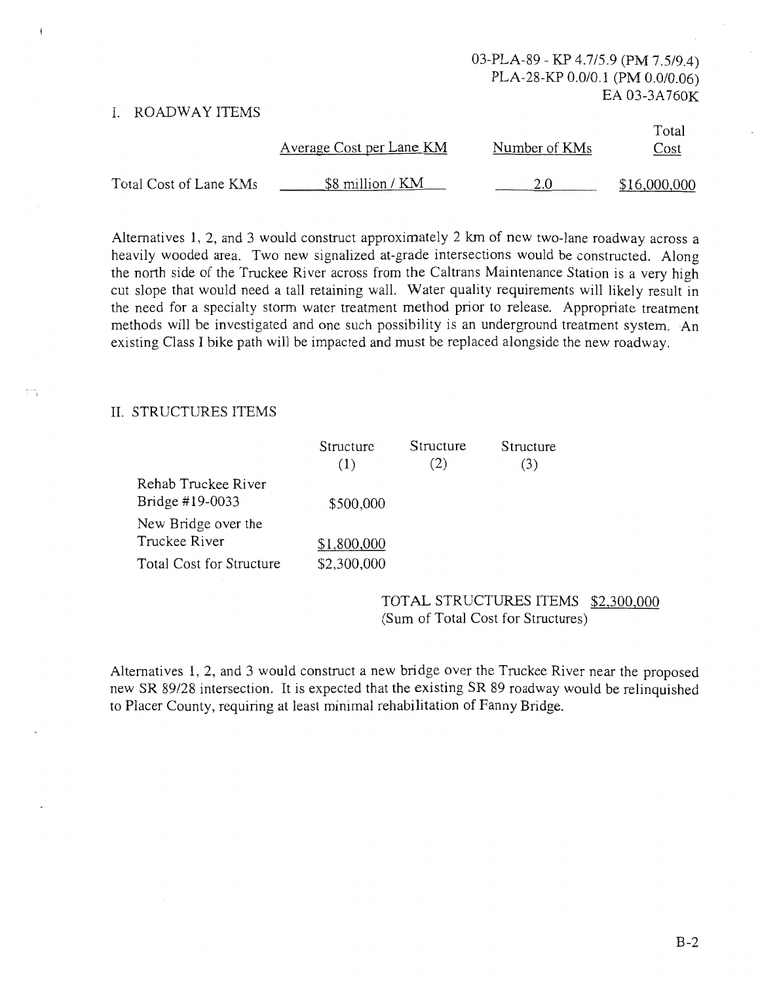### I. ROADWAY ITEMS

|                        | Average Cost per Lane KM | Number of KMs | Total<br>Cost |
|------------------------|--------------------------|---------------|---------------|
| Total Cost of Lane KMs | \$8 million / KM         |               | \$16,000,000  |

Alternatives 1, 2, and 3 would construct approximately 2 km of new two-lane roadway across a heavily wooded area. Two new signalized at-grade intersections would be constructed. Along the north side of the Truckee River across from the Caltrans Maintenance Station is a very high cut slope that would need a tall retaining wall. Water quality requirements will likely result in the need for a specialty storm water treatment method prior to release. Appropriate treatment methods will be investigated and one such possibility is an underground treatment system. An existing Class I bike path will be impacted and must be replaced alongside the new roadway.

### II. STRUCTURES ITEMS

|                          | Structure   | Structure | Structure |
|--------------------------|-------------|-----------|-----------|
|                          | (1)         | (2)       | (3)       |
| Rehab Truckee River      |             |           |           |
| Bridge #19-0033          | \$500,000   |           |           |
| New Bridge over the      |             |           |           |
| Truckee River            | \$1,800,000 |           |           |
| Total Cost for Structure | \$2,300,000 |           |           |

TOTAL STRUCTURES ITEMS \$2,300,000 (Sum of Total Cost for Structures)

Alternatives 1, 2, and 3 would construct a new bridge over the Truckee River near the proposed new SR 89/28 intersection. It is expected that the existing SR 89 roadway would be relinquished to Placer County, requiring at least minimal rehabilitation of Fanny Bridge.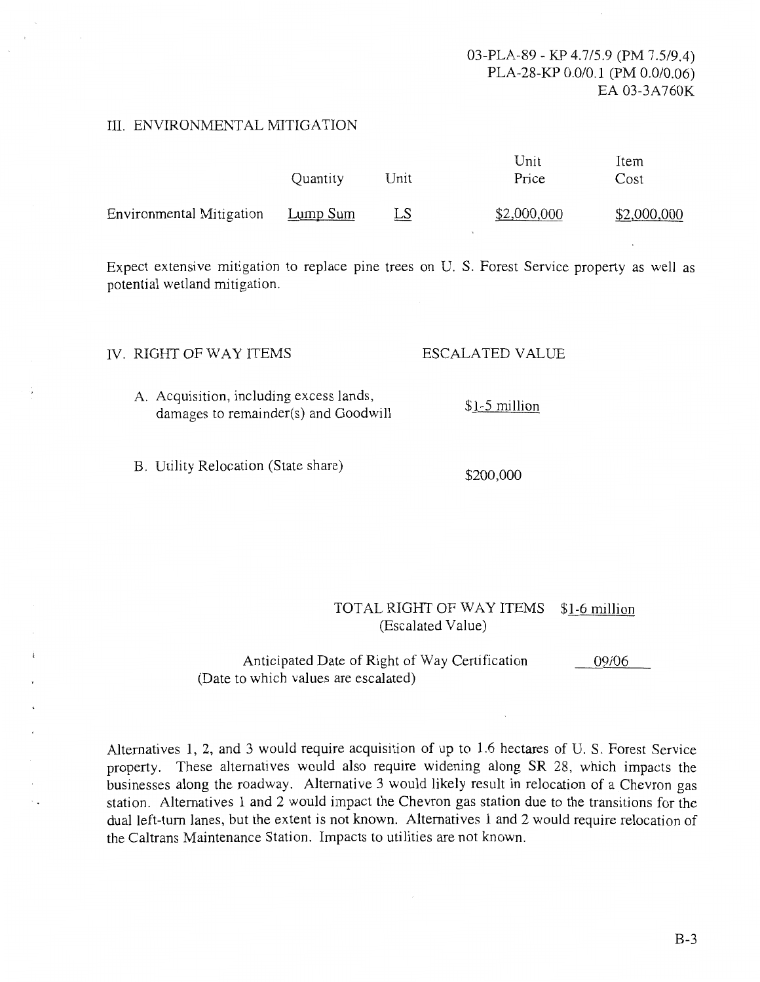### 03-PLA-89- KP 4.7/5.9 (PM 7.5/9.4) PLA-28-KP 0.0/0.1 (PM 0.0/0.06) EA 03-3A760K

### III. ENVIRONMENTAL MITIGATION

|                          | Quantity | Unit      | Unit<br>Price | Item<br>Cost |
|--------------------------|----------|-----------|---------------|--------------|
| Environmental Mitigation | Lump Sum | <u>LS</u> | \$2,000,000   | \$2,000,000  |

Expect extensive mitigation to replace pine trees on U. S. Forest Service property as well as potential wetland mitigation.

### IV. RIGHT OF WAY ITEMS

ESCALATED VALUE

- A. Acquisition, including excess lands, damages to remainder(s) and Goodwill \$1-5 million
- B. Utility Relocation (State share)

#### \$200,000

### TOTAL RIGHT OF WAY ITEMS \$1-6 million (Escalated Value)

Anticipated Date of Right of Way Certification (Date to which values are escalated) 09/06

Alternatives 1, 2, and 3 would require acquisition of up to 1.6 hectares of U. S. Forest Service property. These alternatives would also require widening along SR 28, which impacts the businesses along the roadway. Alternative 3 would likely result in relocation of a Chevron gas station. Alternatives 1 and 2 would impact the Chevron gas station due to the transitions for the dual left-tum lanes, but the extent is not known. Alternatives 1 and 2 would require relocation of the Caltrans Maintenance Station. Impacts to utilities are not known.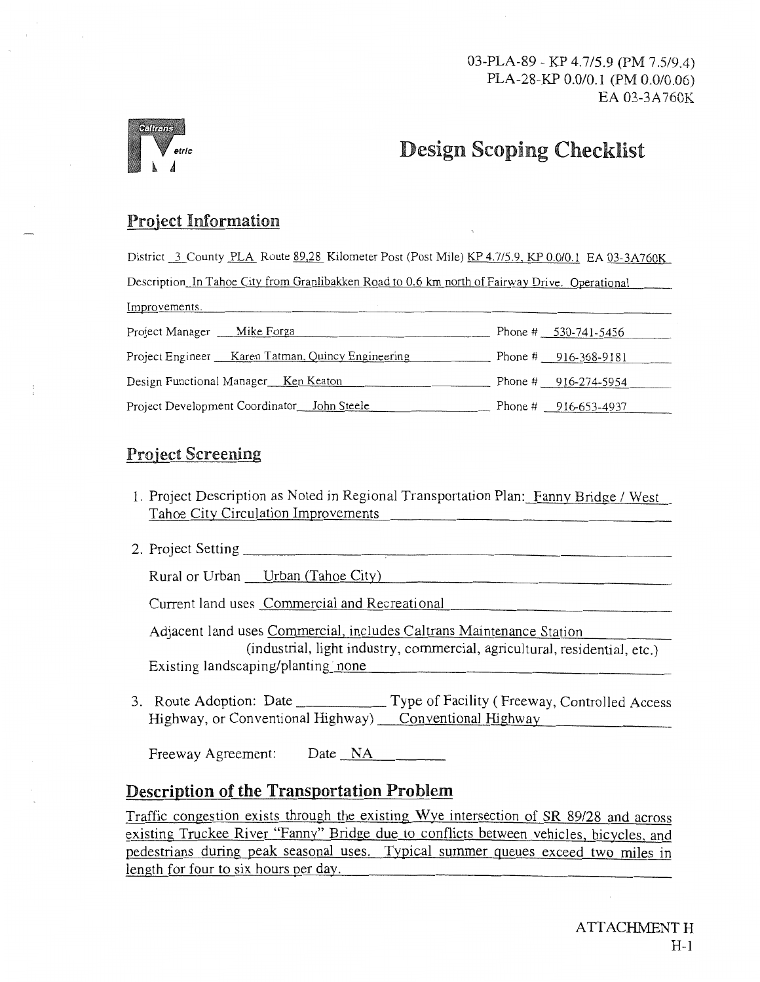03-PLA-89- KP 4.7/5.9 (PM 7.5/9.4) PLA-28-KP 0.0/0.1 (PM 0.0/0.06) EA 03-3A 760K



# Design Scoping Checklist

# Project Information

District 3 County PLA Route 89.28 Kilometer Post (Post Mile) KP 4.7/5.9, KP 0.0/0.1 EA 03-3A760K Description In Tahoe City from Granlibakken Road to 0.6 km north of Fairway Drive. Operational Improvements. Project Manager <u>Mike Forga</u> Phone # 530-741-5456

| Project Manager<br><b>VIIRE</b> FUI Ed              | $0.41 - 0.41$          |
|-----------------------------------------------------|------------------------|
| Project Engineer Karen Tatman, Quincy Engineering   | Phone # $916-368-9181$ |
| Design Functional Manager <sub>___</sub> Ken Keaton | Phone # $916-274-5954$ |
| Project Development Coordinator John Steele         | Phone # $916-653-4937$ |

# Project Screening

- 1. Project Description as Noted in Regional Transportation Plan: Fanny Bridge / West Tahoe City Circulation Improvements
- 2. Project Setting-----------,------------------

Rural or Urban Urban (Tahoe City)

Current land uses Commercial and Recreational

Adjacent land uses Commercial, includes Caltrans Maintenance Station (industrial, light industry, commercial, agricultural, residential, etc.) Existing landscaping/planting none

3. Route Adoption: Date \_\_\_\_\_\_\_\_\_\_\_\_\_ Type of Facility (Freeway, Controlled Access Highway, or Conventional Highway) Conventional Highway

Freeway Agreement: Date NA

# Description of the Transportation Problem

Traffic congestion exists through the existing Wye intersection of SR 89/28 and across existing Truckee River "Fanny" Bridge due to conflicts between vehicles, bicycles, and pedestrians during peak seasonal uses. Typical summer queues exceed two miles in length for four to six hours per day.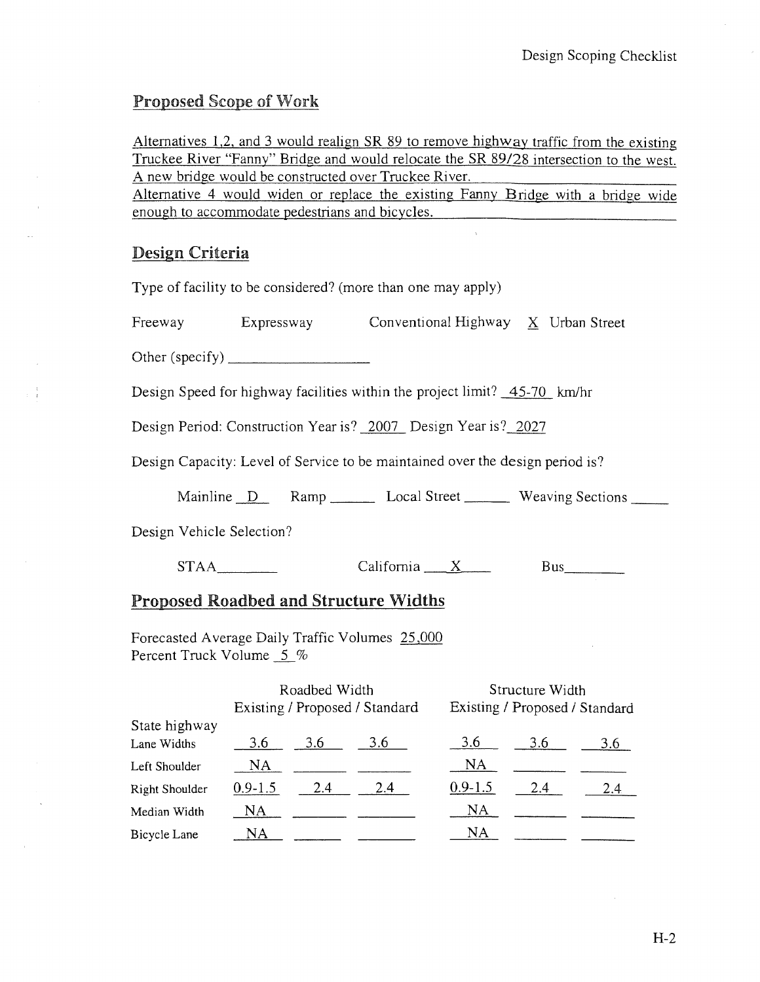# Proposed Scope of Work

Alternatives 1,2, and 3 would realign SR 89 to remove highway traffic from the existing Truckee River "Fanny" Bridge and would relocate the SR 89/28 intersection to the west. A new bridge would be constructed over Truckee River.

Alternative 4 would widen or replace the existing Fanny Bridge with a bridge wide enough to accommodate pedestrians and bicycles.

# Design Criteria

Type of facility to be considered? (more than one may apply)

Freeway Expressway Conventional Highway X Urban Street

Other (specify)  $\qquad \qquad$ 

Design Speed for highway facilities within the project limit? 45-70 km/hr

Design Period: Construction Year is? 2007 Design Year is? 2027

Design Capacity: Level of Service to be maintained over the design period is?

Mainline D Ramp Local Street Weaving Sections

Design Vehicle Selection?

STAA California X Bus

# Proposed Roadbed and Structure Widths

Forecasted Average Daily Traffic Volumes 25,000 Percent Truck Volume 5 %

|                |             | Roadbed Width | Existing / Proposed / Standard |             | Structure Width | Existing / Proposed / Standard |
|----------------|-------------|---------------|--------------------------------|-------------|-----------------|--------------------------------|
| State highway  |             |               |                                |             |                 |                                |
| Lane Widths    | 3.6         | 3.6           | 3.6                            | 3.6         | 3.6             | 3.6                            |
| Left Shoulder  | NA          |               |                                | NA          |                 |                                |
| Right Shoulder | $0.9 - 1.5$ | 2.4           | 2.4                            | $0.9 - 1.5$ | 2.4             | 2.4                            |
| Median Width   | NA          |               |                                | <b>NA</b>   |                 |                                |
| Bicycle Lane   | NA          |               |                                | NA          |                 |                                |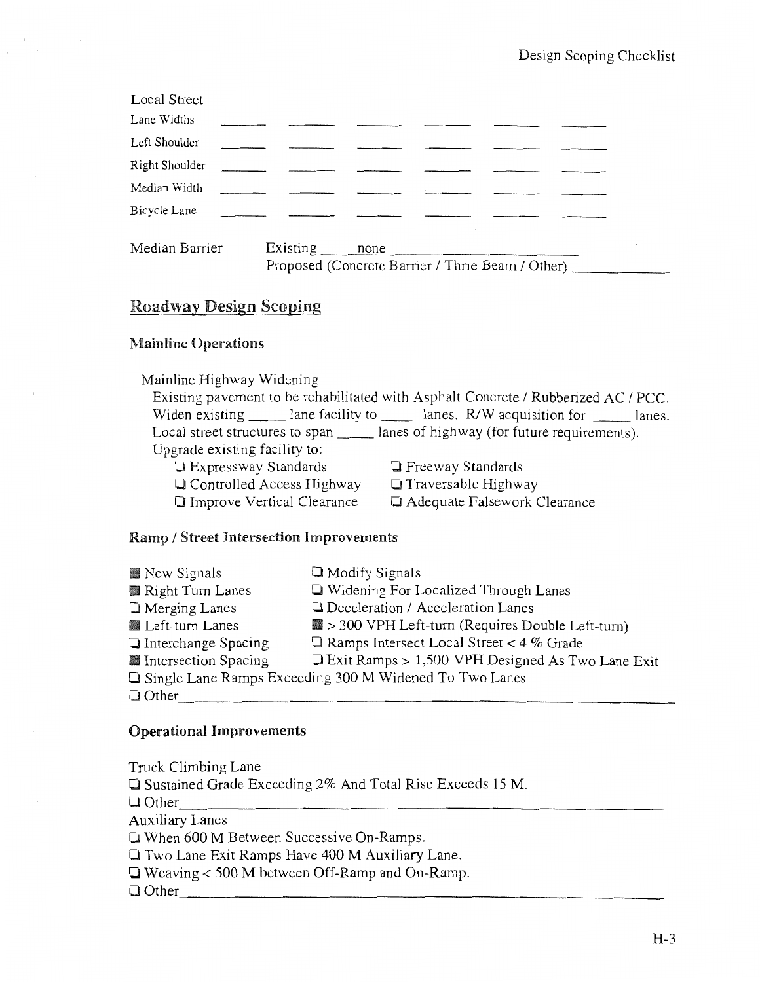# Roadway Design Scoping

# Mainline Operations

| Mainline Highway Widening         |                                                                                     |
|-----------------------------------|-------------------------------------------------------------------------------------|
|                                   | Existing pavement to be rehabilitated with Asphalt Concrete / Rubberized AC / PCC.  |
|                                   | Widen existing lane facility to lanes. R/W acquisition for lanes.                   |
|                                   | Local street structures to span _______ lanes of highway (for future requirements). |
| Upgrade existing facility to:     |                                                                                     |
| <b>Expressway Standards</b>       | <b>Exercise</b> Standards                                                           |
| Q Controlled Access Highway       | $\Box$ Traversable Highway                                                          |
| <b>Improve Vertical Clearance</b> | Adequate Falsework Clearance                                                        |

# Ramp / Street Intersection Improvements

| New Signals                | $\Box$ Modify Signals                                          |
|----------------------------|----------------------------------------------------------------|
| Right Turn Lanes           | □ Widening For Localized Through Lanes                         |
| $\Box$ Merging Lanes       | □ Deceleration / Acceleration Lanes                            |
| Left-turn Lanes            | $\blacksquare$ > 300 VPH Left-turn (Requires Double Left-turn) |
| $\Box$ Interchange Spacing | $\Box$ Ramps Intersect Local Street < 4 % Grade                |
| Intersection Spacing       | $\Box$ Exit Ramps > 1,500 VPH Designed As Two Lane Exit        |
|                            | □ Single Lane Ramps Exceeding 300 M Widened To Two Lanes       |
| $\Box$ Other               |                                                                |

### Operational Improvements

Truck Climbing Lane 0 Sustained Grade Exceeding 2% And Total Rise Exceeds 15M. 0 Other \_\_\_\_\_\_\_\_\_\_\_\_\_\_\_\_\_\_\_\_\_\_\_\_\_\_ \_ Auxiliary Lanes □ When 600 M Between Successive On-Ramps. 0 Two Lane Exit Ramps Have 400 M Auxiliary Lane. 0 Weaving< 500 M between Off-Ramp and On-Ramp.  $\Box$  Other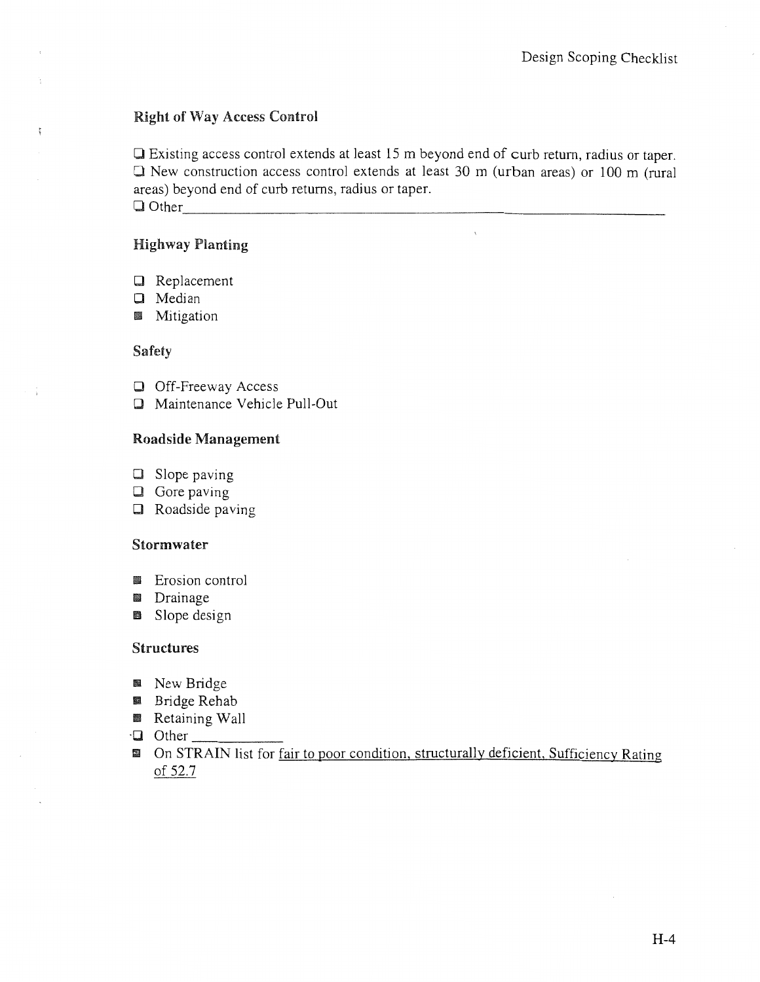## Right of Way Access Control

0 Existing access control extends at least 15 m beyond end of curb return, radius or taper.  $\Box$  New construction access control extends at least 30 m (urban areas) or 100 m (rural areas) beyond end of curb returns, radius or taper.  $\Box$  Other

### Highway Planting

- 0 Replacement
- 0 Median
- **III** Mitigation

### Safety

 $\frac{1}{2}$ 

- **D** Off-Freeway Access
- 0 Maintenance Vehicle Pull-Out

### Roadside Management

- $\square$  Slope paving
- $\Box$  Gore paving
- 0 Roadside paving

### Stormwater

- **Executed** Erosion control
- **III** Drainage
- **B** Slope design

### Structures

- **III** New Bridge
- **B** Bridge Rehab
- **B** Retaining Wall
- $\cdot$ **Q** Other  $\_$
- **II** On STRAIN list for fair to poor condition, structurally deficient, Sufficiency Rating of 52.7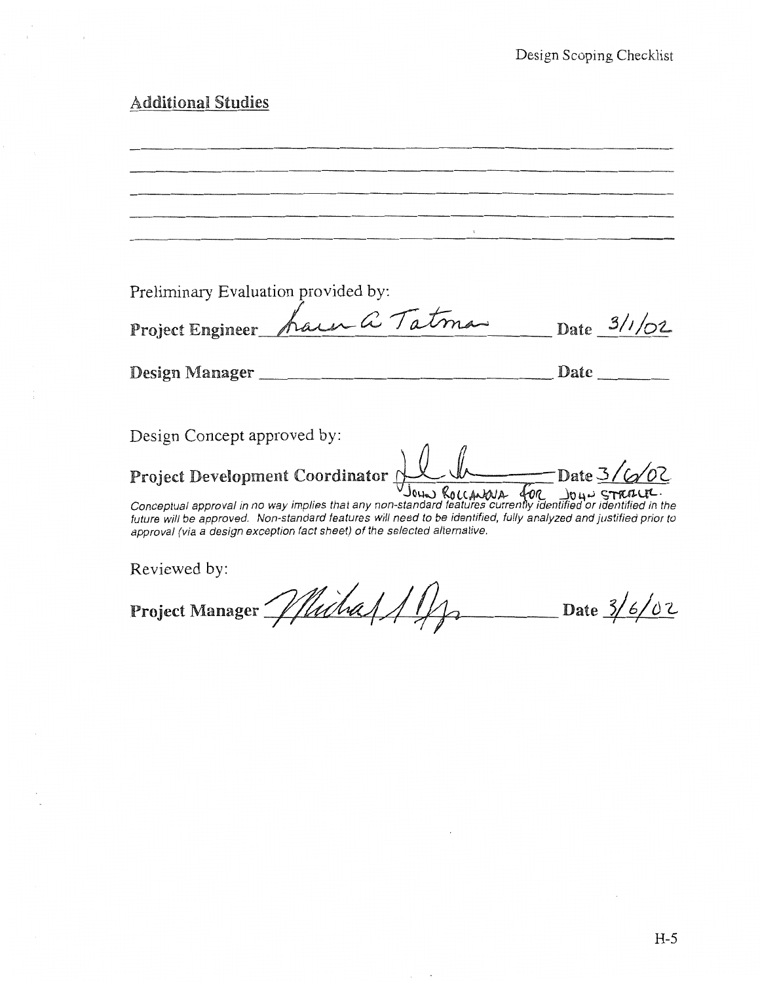# Additional Studies

Preliminary Evaluation provided by: Preliminary Evaluation provided by:<br>Project Engineer *have a Tatma* Date 3/1/02 Design Manager \_\_\_\_\_\_\_\_\_\_\_\_\_\_\_\_\_ Date \_\_\_ \_ Design Concept approved by: Project Development Coordinator . ! Date 3/ *G::JIDL* . . . JoLlo.J ~tt~A- fL .Jo4..J c;TftJl-Ll1-· Conceptual approval m no way 1mpl1es that any non-standard features currenty identified or identified in the future will be approved. Non-standard features will need to be identified, fully analyzed and justified prior to approval (via a design exception fact sheet) of the selected alternative. Reviewed by: Project Manager Whichal / 1/2 Date 3/6/02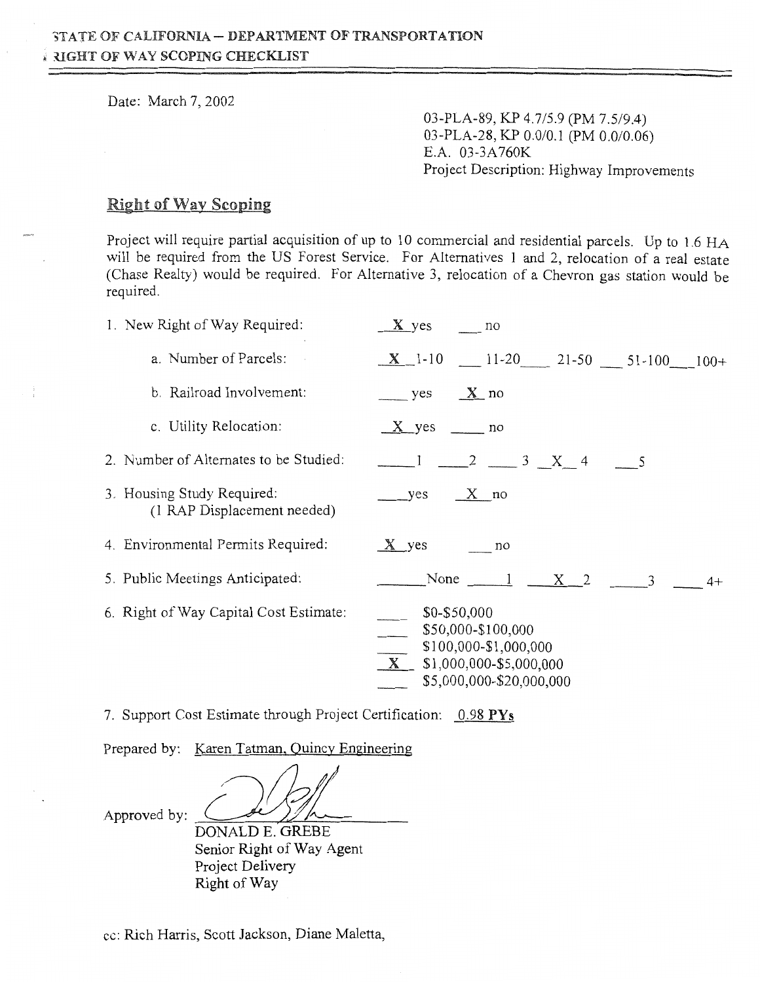Date: March 7, 2002

03-PLA-89, KP 4.7/5.9 (PM 7.5/9.4) 03-PLA-28, KP 0.0/0.1 (PM 0.0/0.06) E.A. 03-3A 760K Project Description: Highway Improvements

### Right of Way Scoping

Project will require partial acquisition of up to 10 commercial and residential parcels. Up to 1.6 HA will be required from the US Forest Service. For Alternatives 1 and 2, relocation of a real estate (Chase Realty) would be required. For Alternative 3, relocation of a Chevron gas station would be required.

| 1. New Right of Way Required:                             | $X$ yes<br>no                                                                                                            |
|-----------------------------------------------------------|--------------------------------------------------------------------------------------------------------------------------|
| a. Number of Parcels:                                     | $\underline{X}$ 1-10 $\underline{11-20}$ 21-50 51-100 100+                                                               |
| b. Railroad Involvement:                                  | $\mathbf{X}$ no<br>yes                                                                                                   |
| c. Utility Relocation:                                    | $X$ yes _______ no                                                                                                       |
| 2. Number of Alternates to be Studied:                    | $\frac{1}{2}$ $\frac{2}{3}$ X 4                                                                                          |
| 3. Housing Study Required:<br>(1 RAP Displacement needed) | $\mathbf{X}$ no<br>yes                                                                                                   |
| 4. Environmental Permits Required:                        | $X$ yes<br>no                                                                                                            |
| 5. Public Meetings Anticipated:                           | None $\begin{array}{cccc} 1 & X & 2 \end{array}$<br>$\overline{3}$<br>$4+$                                               |
| 6. Right of Way Capital Cost Estimate:                    | $$0 - $50,000$<br>\$50,000-\$100,000<br>\$100,000-\$1,000,000<br>$X$ \$1,000,000-\$5,000,000<br>\$5,000,000-\$20,000,000 |

7. Support Cost Estimate through Project Certification: 0.98 PYs

Prepared by: Karen Tatman, Quincy Engineering

Approved by:

DONALD E. GREBE Senior Right of Way Agent Project Delivery Right of Way

cc: Rich Harris, Scott Jackson, Diane Maletta,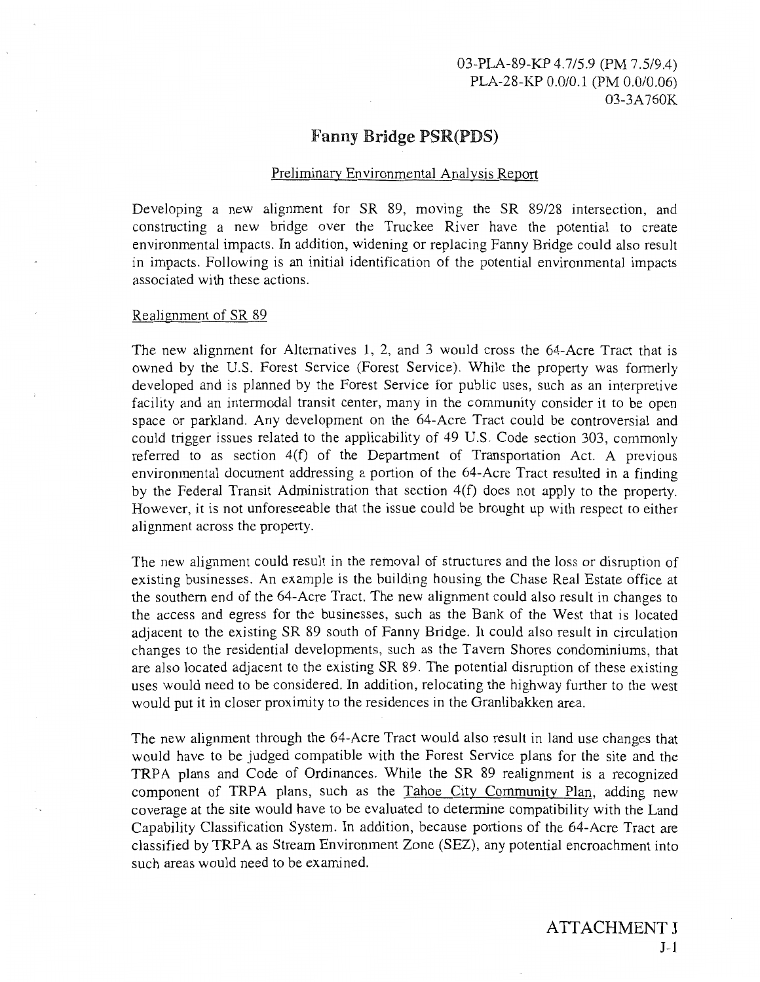# Fanny Bridge PSR(PDS)

### Preliminary Environmental Analysis Report

Developing a new alignment for SR 89, moving the SR 89/28 intersection, and constructing a new bridge over the Truckee River have the potential to create environmental impacts. In addition, widening or replacing Fanny Bridge could also result in impacts. Following is an initial identification of the potential environmental impacts associated with these actions.

### Realignment of SR 89

The new alignment for Alternatives 1, 2, and 3 would cross the 64-Acre Tract that is owned by the U.S. Forest Service (Forest Service). While the property was formerly developed and is planned by the Forest Service for public uses, such as an interpretive facility and an intermodal transit center, many in the community consider it to be open space or parkland. Any development on the 64-Acre Tract could be controversial and could trigger issues related to the applicability of 49 U.S. Code section 303, commonly referred to as section 4(f) of the Department of Transportation Act. A previous environmental document addressing a portion of the 64-Acre Tract resulted in a finding by the Federal Transit Administration that section 4(f) does not apply to the property. However, it is not unforeseeable that the issue could be brought up with respect to either alignment across the property.

The new alignment could result in the removal of structures and the loss or disruption of existing businesses. An example is the building housing the Chase Real Estate office at the southern end of the 64-Acre Tract. The new alignment could also result in changes to the access and egress for the businesses, such as the Bank of the West that is located adjacent to the existing SR 89 south of Fanny Bridge. It could also result in circulation changes to the residential developments, such as the Tavern Shores condominiums, that are also located adjacent to the existing SR 89. The potential disruption of these existing uses would need to be considered. In addition, relocating the highway further to the west would put it in closer proximity to the residences in the Granlibakken area.

The new alignment through the 64-Acre Tract would also result in land use changes that would have to be judged compatible with the Forest Service plans for the site and the TRPA plans and Code of Ordinances. While the SR 89 realignment is a recognized component of TRPA plans, such as the Tahoe City Community Plan, adding new coverage at the site would have to be evaluated to determine compatibility with the Land Capability Classification System. In addition, because portions of the 64-Acre Tract are classified by TRPA as Stream Environment Zone (SEZ), any potential encroachment into such areas would need to be examined.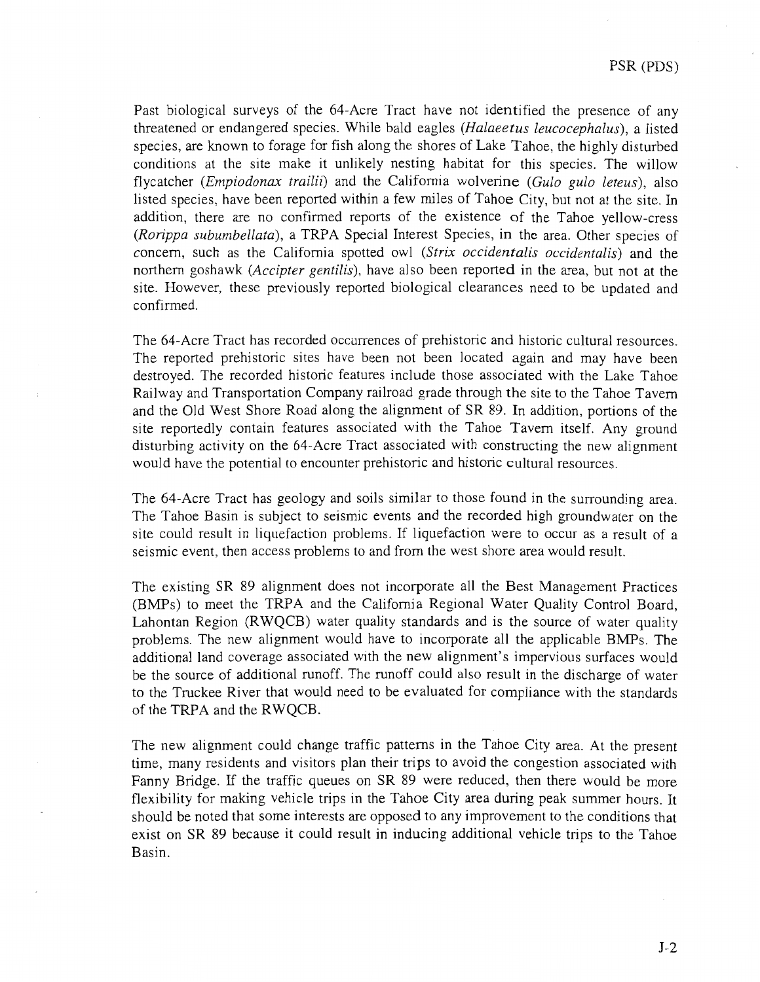Past biological surveys of the 64-Acre Tract have not identified the presence of any threatened or endangered species. While bald eagles *(Halaeetus leucocephalus),* a listed species, are known to forage for fish along the shores of Lake Tahoe, the highly disturbed conditions at the site make it unlikely nesting habitat for this species. The willow flycatcher *(Empiodonax trailii)* and the California wolverine *(Gulo gulo leteus),* also listed species, have been reported within a few miles of Tahoe City, but not at the site. In addition, there are no confirmed reports of the existence of the Tahoe yellow-cress *(Rorippa subumbellata),* a TRPA Special Interest Species, in the area. Other species of concern, such as the California spotted owl *(Strix occidentalis occidentalis)* and the northern goshawk *(Accipter gentilis),* have also been reported in the area, but not at the site. However, these previously reported biological clearances need to be updated and confirmed.

The 64-Acre Tract has recorded occurrences of prehistoric and historic cultural resources. The reported prehistoric sites have been not been located again and may have been destroyed. The recorded historic features include those associated with the Lake Tahoe Railway and Transportation Company railroad grade through the site to the Tahoe Tavern and the Old West Shore Road along the alignment of SR 89. In addition, portions of the site reportedly contain features associated with the Tahoe Tavern itself. Any ground disturbing activity on the 64-Acre Tract associated with constructing the new alignment would have the potential to encounter prehistoric and historic cultural resources.

The 64-Acre Tract has geology and soils similar to those found in the surrounding area. The Tahoe Basin is subject to seismic events and the recorded high groundwater on the site could result in liquefaction problems. If liquefaction were to occur as a result of a seismic event, then access problems to and from the west shore area would result.

The existing SR 89 alignment does not incorporate all the Best Management Practices (BMPs) to meet the TRPA and the California Regional Water Quality Control Board, Lahontan Region (RWQCB) water quality standards and is the source of water quality problems. The new alignment would have to incorporate all the applicable BMPs. The additional land coverage associated with the new alignment's impervious surfaces would be the source of additional runoff. The runoff could also result in the discharge of water to the Truckee River that would need to be evaluated for compliance with the standards of the TRPA and the RWQCB.

The new alignment could change traffic patterns in the Tahoe City area. At the present time, many residents and visitors plan their trips to avoid the congestion associated with Fanny Bridge. If the traffic queues on SR 89 were reduced, then there would be more flexibility for making vehicle trips in the Tahoe City area during peak summer hours. It should be noted that some interests are opposed to any improvement to the conditions that exist on SR 89 because it could result in inducing additional vehicle trips to the Tahoe Basin.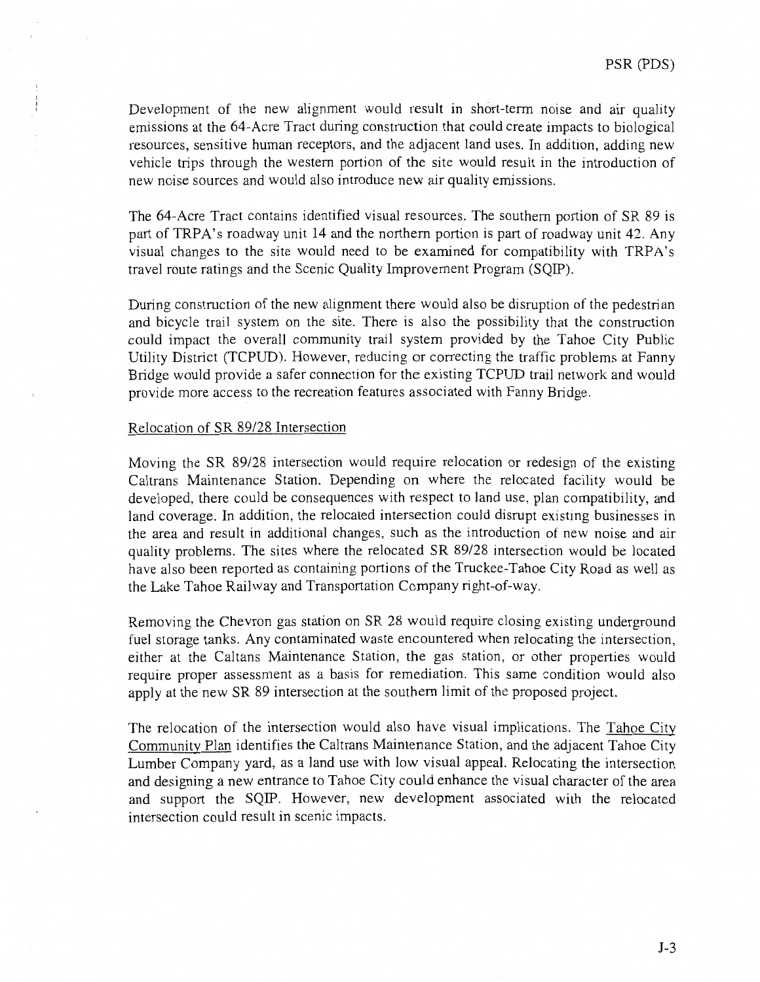Development of the new alignment would result in short-term noise and air quality emissions at the 64-Acre Tract during construction that could create impacts to biological resources, sensitive human receptors, and the adjacent land uses. In addition, adding new vehicle trips through the western portion of the site would result in the introduction of new noise sources and would also introduce new air quality emissions.

The 64-Acre Tract contains identified visual resources. The southern portion of SR 89 is part of TRPA's roadway unit 14 and the northern portion is part of roadway unit 42. Any visual changes to the site would need to be examined for compatibility with TRPA's travel route ratings and the Scenic Quality Improvement Program (SQIP).

During construction of the new alignment there would also be disruption of the pedestrian and bicycle trail system on the site. There is also the possibility that the construction could impact the overall community trail system provided by the Tahoe City Public Utility District (TCPUD). However, reducing or correcting the traffic problems at Fanny Bridge would provide a safer connection for the existing TCPUD trail network and would provide more access to the recreation features associated with Fanny Bridge.

### Relocation of SR 89/28 Intersection

Moving the SR 89/28 intersection would require relocation or redesign of the existing Caltrans Maintenance Station. Depending on where the relocated facility would be developed, there could be consequences with respect to land use, plan compatibility, and land coverage. In addition, the relocated intersection could disrupt existing businesses in the area and result in additional changes, such as the introduction of new noise and air quality problems. The sites where the relocated SR 89/28 intersection would be located have also been reported as containing portions of the Truckee-Tahoe City Road as well as the Lake Tahoe Railway and Transportation Company right-of-way.

Removing the Chevron gas station on SR 28 would require closing existing underground fuel storage tanks. Any contaminated waste encountered when relocating the intersection, either at the Caltans Maintenance Station, the gas station, or other properties would require proper assessment as a basis for remediation. This same condition would also apply at the new SR 89 intersection at the southern limit of the proposed project.

The relocation of the intersection would also have visual implications. The Tahoe City Community Plan identifies the Caltrans Maintenance Station, and the adjacent Tahoe City Lumber Company yard, as a land use with low visual appeal. Relocating the intersection and designing a new entrance to Tahoe City could enhance the visual character of the area and support the SQIP. However, new development associated with the relocated intersection could result in scenic impacts.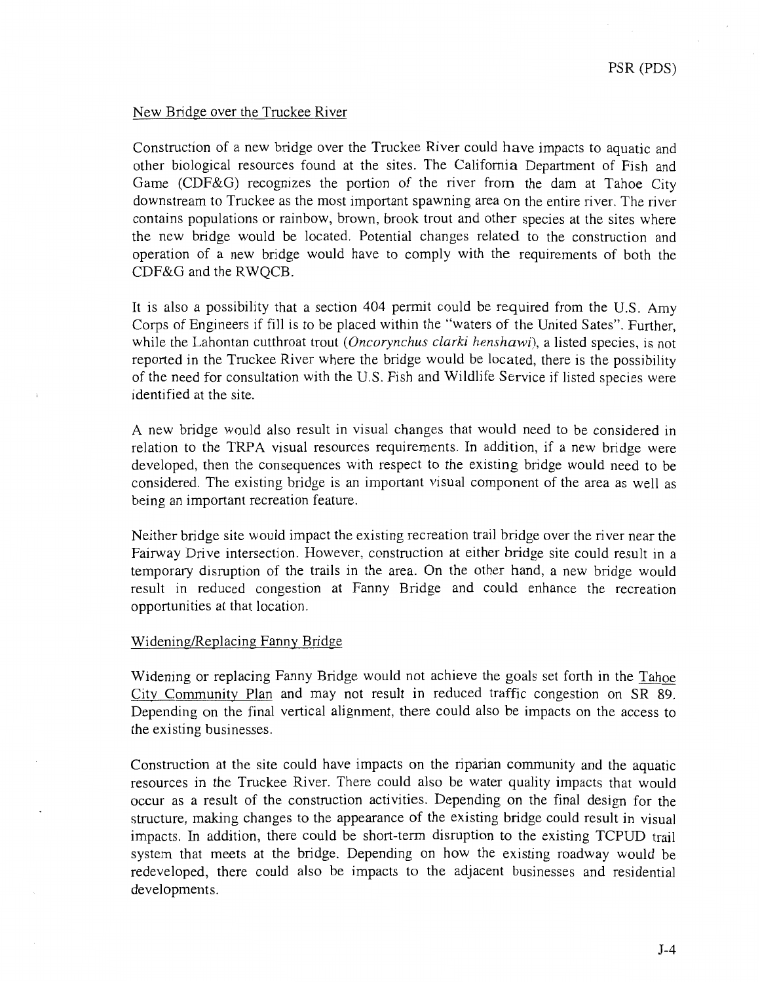### New Bridge over the Truckee River

Construction of a new bridge over the Truckee River could have impacts to aquatic and other biological resources found at the sites. The California Department of Fish and Game (CDF&G) recognizes the portion of the river from the dam at Tahoe City downstream to Truckee as the most important spawning area on the entire river. The river contains populations or rainbow, brown, brook trout and other species at the sites where the new bridge would be located. Potential changes related to the construction and operation of a new bridge would have to comply with the requirements of both the CDF&G and the RWQCB.

It is also a possibility that a section 404 permit could be required from the U.S. Amy Corps of Engineers if fill is to be placed within the "waters of the United Sates". Further, while the Lahontan cutthroat trout (*Oncorynchus clarki henshawi*), a listed species, is not reported in the Truckee River where the bridge would be located, there is the possibility of the need for consultation with the U.S. Fish and Wildlife Service if listed species were identified at the site.

A new bridge would also result in visual changes that would need to be considered in relation to the TRPA visual resources requirements. In addition, if a new bridge were developed, then the consequences with respect to the existing bridge would need to be considered. The existing bridge is an important visual component of the area as well as being an important recreation feature.

Neither bridge site would impact the existing recreation trail bridge over the river near the Fairway Drive intersection. However, construction at either bridge site could result in a temporary disruption of the trails in the area. On the other hand, a new bridge would result in reduced congestion at Fanny Bridge and could enhance the recreation opportunities at that location.

### Widening/Replacing Fanny Bridge

Widening or replacing Fanny Bridge would not achieve the goals set forth in the Tahoe City Community Plan and may not result in reduced traffic congestion on SR 89. Depending on the final vertical alignment, there could also be impacts on the access to the existing businesses.

Construction at the site could have impacts on the riparian community and the aquatic resources in the Truckee River. There could also be water quality impacts that would occur as a result of the construction activities. Depending on the final design for the structure, making changes to the appearance of the existing bridge could result in visual impacts. In addition, there could be short-term disruption to the existing TCPUD trail system that meets at the bridge. Depending on how the existing roadway would be redeveloped, there could also be impacts to the adjacent businesses and residential developments.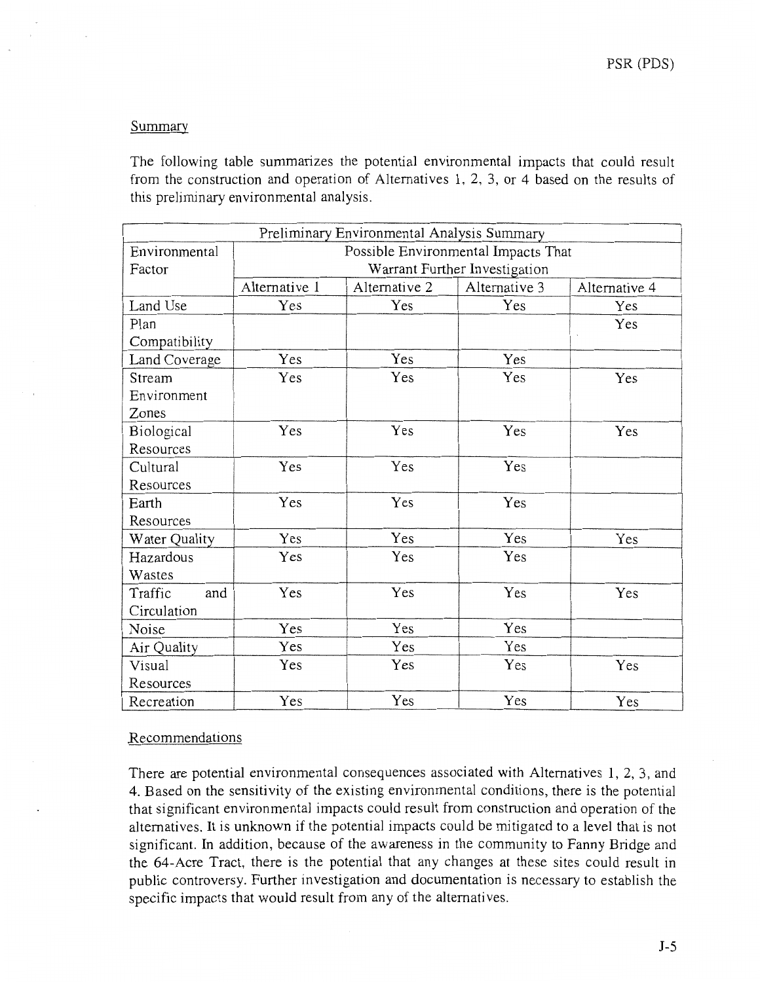### Summary

The following table summarizes the potential environmental impacts that could result from the construction and operation of Alternatives 1, 2, 3, or 4 based on the results of this preliminary environmental analysis.

|                | Preliminary Environmental Analysis Summary |               |                               |               |  |  |
|----------------|--------------------------------------------|---------------|-------------------------------|---------------|--|--|
| Environmental  | Possible Environmental Impacts That        |               |                               |               |  |  |
| Factor         |                                            |               | Warrant Further Investigation |               |  |  |
|                | Alternative 1                              | Alternative 2 | Alternative 3                 | Alternative 4 |  |  |
| Land Use       | Yes                                        | Yes           | Yes                           | Yes           |  |  |
| Plan           |                                            |               |                               | Yes           |  |  |
| Compatibility  |                                            |               |                               |               |  |  |
| Land Coverage  | Yes                                        | Yes           | Yes                           |               |  |  |
| Stream         | Yes                                        | Yes           | Yes                           | Yes           |  |  |
| Environment    |                                            |               |                               |               |  |  |
| Zones          |                                            |               |                               |               |  |  |
| Biological     | Yes                                        | Yes           | Yes                           | Yes           |  |  |
| Resources      |                                            |               |                               |               |  |  |
| Cultural       | Yes                                        | Yes           | Yes                           |               |  |  |
| Resources      |                                            |               |                               |               |  |  |
| Earth          | Yes                                        | Yes           | Yes                           |               |  |  |
| Resources      |                                            |               |                               |               |  |  |
| Water Quality  | Yes                                        | Yes           | Yes                           | Yes           |  |  |
| Hazardous      | Yes                                        | Yes           | Yes                           |               |  |  |
| Wastes         |                                            |               |                               |               |  |  |
| and<br>Traffic | Yes                                        | Yes           | Yes                           | Yes           |  |  |
| Circulation    |                                            |               |                               |               |  |  |
| Noise          | Yes                                        | Yes           | Yes                           |               |  |  |
| Air Quality    | Yes                                        | Yes           | Yes                           |               |  |  |
| Visual         | Yes                                        | Yes           | Yes                           | Yes           |  |  |
| Resources      |                                            |               |                               |               |  |  |
| Recreation     | Yes                                        | Yes           | Yes                           | Yes           |  |  |

### Recommendations

There are potential environmental consequences associated with Alternatives 1, 2, 3, and 4. Based on the sensitivity of the existing environmental conditions, there is the potential that significant environmental impacts could result from construction and operation of the alternatives. It is unknown if the potential impacts could be mitigated to a level that is not significant. In addition, because of the awareness in the community to Fanny Bridge and the 64-Acre Tract, there is the potential that any changes at these sites could result in public controversy. Further investigation and documentation is necessary to establish the specific impacts that would result from any of the alternatives.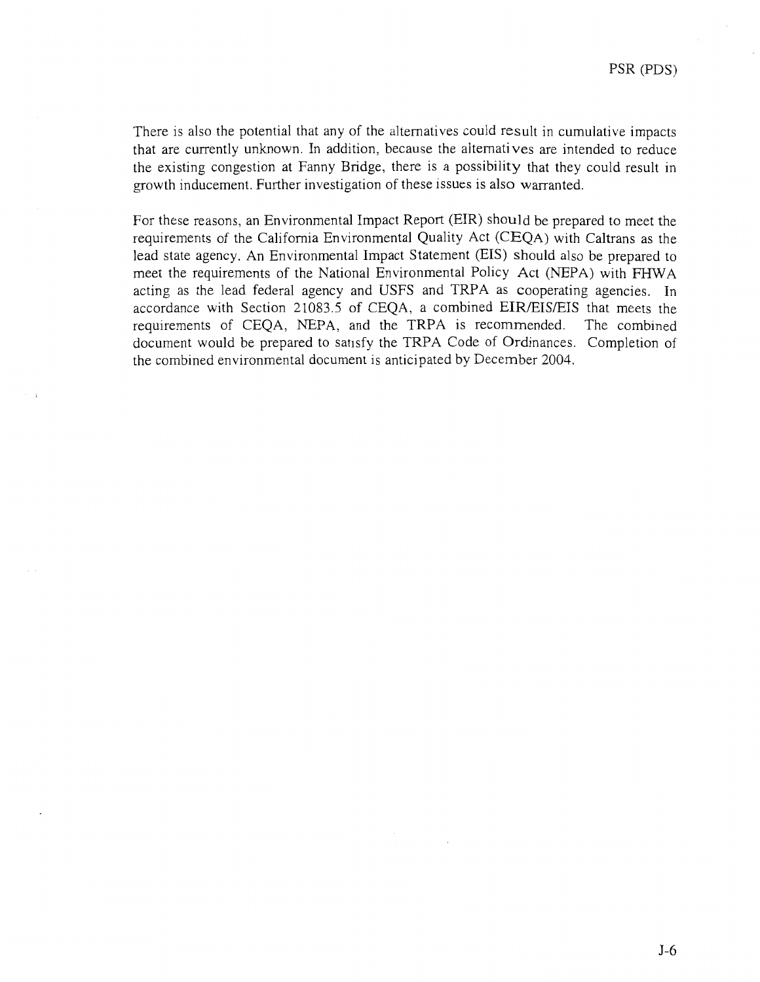There is also the potential that any of the alternatives could result in cumulative impacts that are currently unknown. In addition, because the alternatives are intended to reduce the existing congestion at Fanny Bridge, there is a possibility that they could result in growth inducement. Further investigation of these issues is also warranted.

For these reasons, an Environmental Impact Report (EIR) should be prepared to meet the requirements of the California Environmental Quality Act (CEQA) with Caltrans as the lead state agency. An Environmental Impact Statement (EIS) should also be prepared to meet the requirements of the National Environmental Policy Act (NEPA) with FHW A acting as the lead federal agency and USFS and TRPA as cooperating agencies. In accordance with Section 21083.5 of CEQA, a combined EIR/EIS/EIS that meets the requirements of CEQA, NEPA, and the TRPA is recommended. The combined document would be prepared to satisfy the TRPA Code of Ordinances. Completion of the combined environmental document is anticipated by December 2004.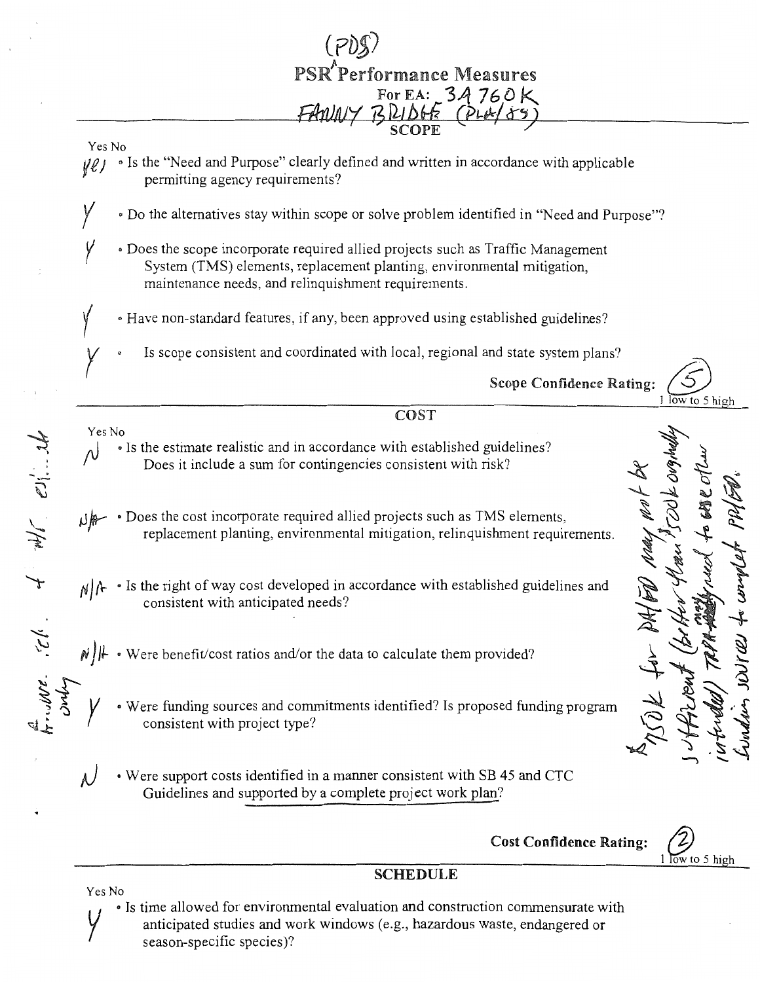

**SCHEDULE** 

Yes No • Is time allowed for environmental evaluation and construction commensurate with anticipated studies and work windows (e.g., hazardous waste, endangered or season-specific species)?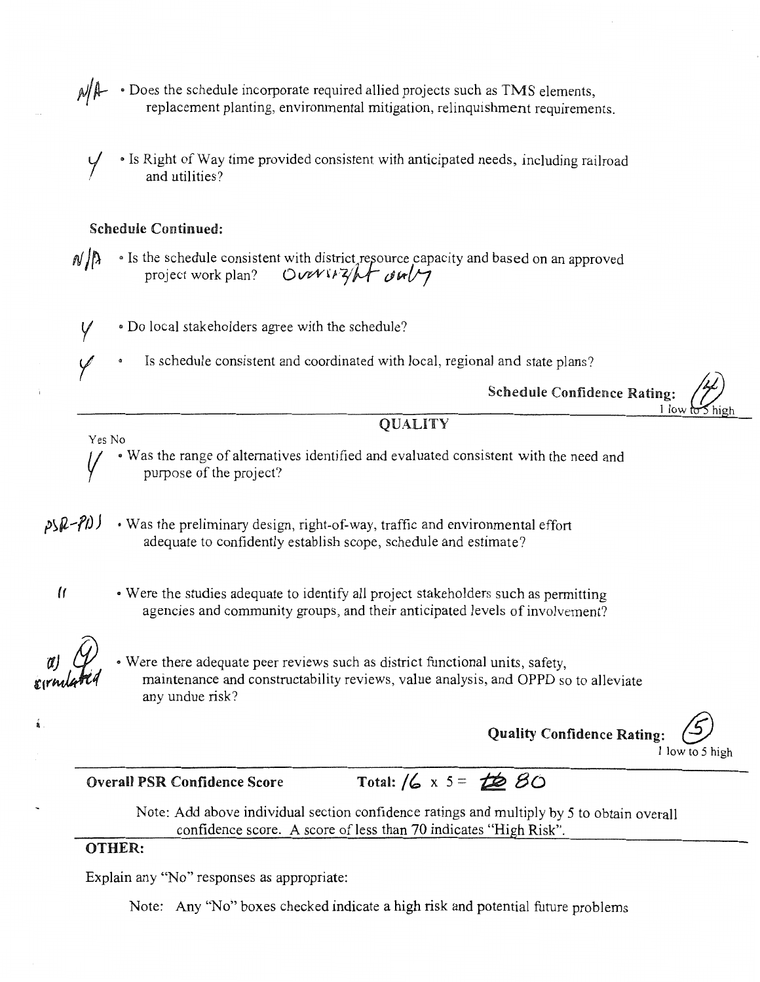• Does the schedule incorporate required allied projects such as TMS elements, replacement planting, environmental mitigation, relinquishment requirements.

• Is Right of Way time provided consistent with anticipated needs, including railroad and utilities?

### Schedule Continued:

 $N/\hbar$ • Is the schedule consistent with district, resource capacity and based on an approved project work plan? Over  $\sqrt{4}$  oult

• Do local stakeholders agree with the schedule? v

Is schedule consistent and coordinated with local, regional and state plans? *y* 

Schedule Confidence Rating:

l low to  $\sim$  high

Yes No

*<sup>V</sup>*• Was the range of alternatives identified and evaluated consistent with the need and purpose of the project?

**QUALITY** 

• Was the preliminary design, right-of-way, traffic and environmental effort  $25R - P1)$ adequate to confidently establish scope, schedule and estimate?

• Were the studies adequate to identify all project stakeholders such as permitting agencies and community groups, and their anticipated levels of involvement?

 $\mathcal{U}$ 

• Were there adequate peer reviews such as district functional units, safety, maintenance and constructability reviews, value analysis, and OPPD so to alleviate any undue risk?

Quality Confidence Rating: *@*  1 low to 5 high

Overall PSR Confidence Score Total: /6 x 5 = to BO

Note: Add above individual section confidence ratings and multiply by 5 to obtain overall confidence score. A score of less than 70 indicates "High Risk".

# OTHER:

Explain any "No" responses as appropriate:

Note: Any "No" boxes checked indicate a high risk and potential future problems